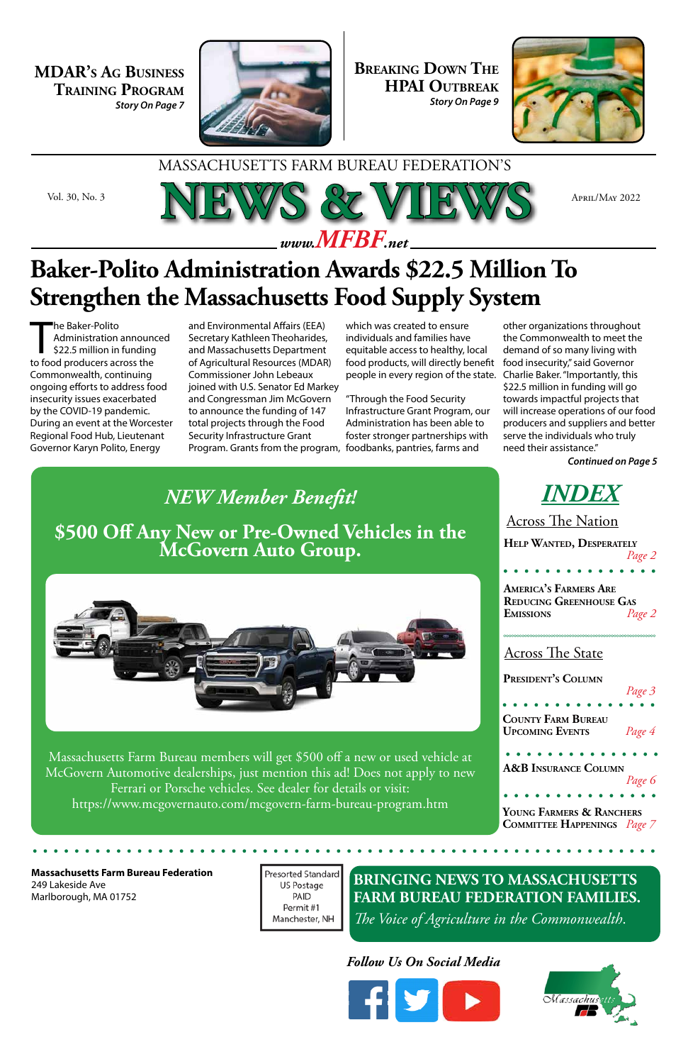#### *Follow Us On Social Media*





**BRINGING NEWS TO MASSACHUSETTS FARM BUREAU FEDERATION FAMILIES.** *The Voice of Agriculture in the Commonwealth*.

### *INDEX*

#### **Massachusetts Farm Bureau Federation**

249 Lakeside Ave Marlborough, MA 01752 Presorted Standard US Postage PAID Permit #1 Manchester, NH









**President's Column** 

**Young Farmers & Ranchers Committee Happenings** *Page 7*

**Help Wanted, Desperately** *Page 2*

#### MASSACHUSETTS FARM BUREAU FEDERATION'S

**Breaking Down The HPAI Outbreak** *Story On Page 9*



#### Across The Nation

#### Across The State

**MDAR's Ag Business Training Program** *Story On Page 7*



The Baker-Polito<br>
Administration announe<br>
\$22.5 million in funding<br>
to food producers across the he Baker-Polito Administration announced \$22.5 million in funding Commonwealth, continuing ongoing efforts to address food insecurity issues exacerbated by the COVID-19 pandemic. During an event at the Worcester Regional Food Hub, Lieutenant Governor Karyn Polito, Energy

*Continued on Page 5*

*NEW Member Benefit!* **\$500 Off Any New or Pre-Owned Vehicles in the McGovern Auto Group.**

Massachusetts Farm Bureau members will get \$500 off a new or used vehicle at McGovern Automotive dealerships, just mention this ad! Does not apply to new Ferrari or Porsche vehicles. See dealer for details or visit: https://www.mcgovernauto.com/mcgovern-farm-bureau-program.htm

### **Baker-Polito Administration Awards \$22.5 Million To Strengthen the Massachusetts Food Supply System**

and Environmental Affairs (EEA) Secretary Kathleen Theoharides, and Massachusetts Department of Agricultural Resources (MDAR) Commissioner John Lebeaux joined with U.S. Senator Ed Markey and Congressman Jim McGovern to announce the funding of 147 total projects through the Food Security Infrastructure Grant Program. Grants from the program, foodbanks, pantries, farms and

which was created to ensure individuals and families have equitable access to healthy, local food products, will directly benefit people in every region of the state.

"Through the Food Security Infrastructure Grant Program, our Administration has been able to foster stronger partnerships with

other organizations throughout the Commonwealth to meet the demand of so many living with food insecurity," said Governor Charlie Baker. "Importantly, this \$22.5 million in funding will go towards impactful projects that will increase operations of our food producers and suppliers and better serve the individuals who truly need their assistance."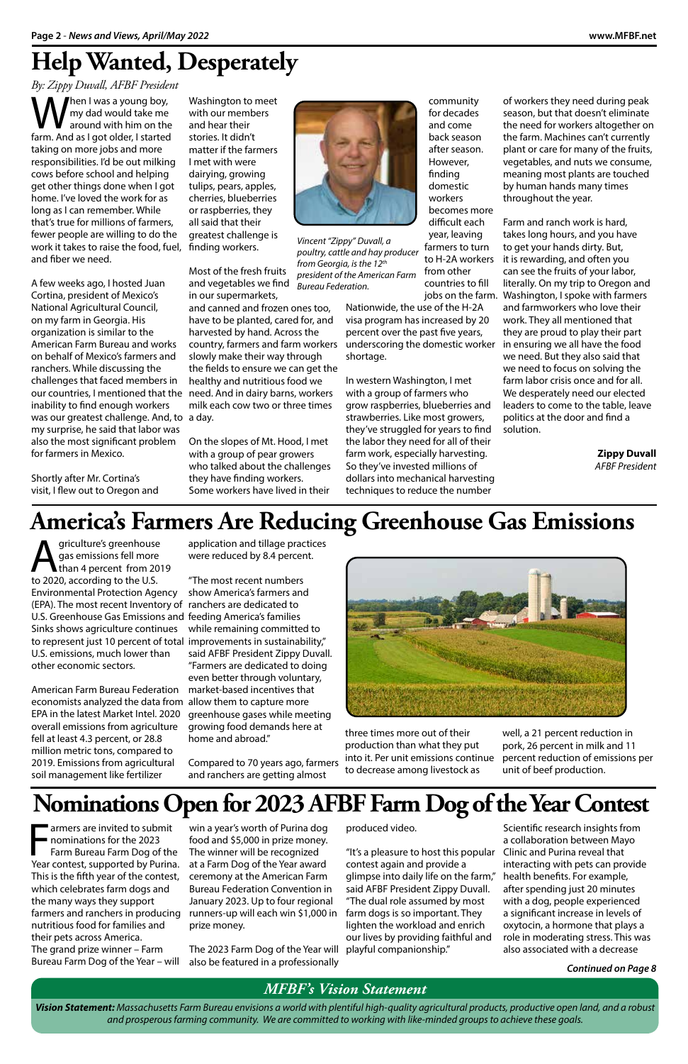of workers they need during peak season, but that doesn't eliminate the need for workers altogether on the farm. Machines can't currently plant or care for many of the fruits, vegetables, and nuts we consume, meaning most plants are touched by human hands many times throughout the year.

Farm and ranch work is hard, takes long hours, and you have to get your hands dirty. But, it is rewarding, and often you can see the fruits of your labor, literally. On my trip to Oregon and jobs on the farm. Washington, I spoke with farmers and farmworkers who love their work. They all mentioned that they are proud to play their part in ensuring we all have the food we need. But they also said that we need to focus on solving the farm labor crisis once and for all. We desperately need our elected leaders to come to the table, leave politics at the door and find a solution.

When I was a young boy,<br>
my dad would take me<br>
farm And as Loot older Listarted my dad would take me around with him on the farm. And as I got older, I started taking on more jobs and more responsibilities. I'd be out milking cows before school and helping get other things done when I got home. I've loved the work for as long as I can remember. While that's true for millions of farmers, fewer people are willing to do the work it takes to raise the food, fuel, and fiber we need.

> **Zippy Duvall** *AFBF President*

A few weeks ago, I hosted Juan Cortina, president of Mexico's National Agricultural Council, on my farm in Georgia. His organization is similar to the American Farm Bureau and works on behalf of Mexico's farmers and ranchers. While discussing the challenges that faced members in our countries, I mentioned that the need. And in dairy barns, workers inability to find enough workers was our greatest challenge. And, to a day. my surprise, he said that labor was also the most significant problem for farmers in Mexico.

Shortly after Mr. Cortina's visit, I flew out to Oregon and

Washington to meet with our members and hear their stories. It didn't matter if the farmers I met with were dairying, growing tulips, pears, apples, cherries, blueberries or raspberries, they all said that their greatest challenge is finding workers.

griculture's greenhouse<br>gas emissions fell more<br>to 2020, according to the U.S. gas emissions fell more than 4 percent from 2019 to 2020, according to the U.S. Environmental Protection Agency (EPA). The most recent Inventory of ranchers are dedicated to U.S. Greenhouse Gas Emissions and feeding America's families Sinks shows agriculture continues to represent just 10 percent of total improvements in sustainability," U.S. emissions, much lower than other economic sectors.

Most of the fresh fruits and vegetables we find in our supermarkets,

and canned and frozen ones too, have to be planted, cared for, and harvested by hand. Across the country, farmers and farm workers slowly make their way through the fields to ensure we can get the healthy and nutritious food we milk each cow two or three times

On the slopes of Mt. Hood, I met with a group of pear growers who talked about the challenges they have finding workers. Some workers have lived in their

### **Help Wanted, Desperately**

*By: Zippy Duvall, AFBF President* 

*Vincent "Zippy" Duvall, a poultry, cattle and hay producer from Georgia, is the 12th president of the American Farm Bureau Federation.* 

community for decades and come back season after season. However, finding domestic workers

Framers are invited to submit<br>
nominations for the 2023<br>
Farm Bureau Farm Dog of the<br>
Year contest, supported by Purina. armers are invited to submit nominations for the 2023 Farm Bureau Farm Dog of the This is the fifth year of the contest, which celebrates farm dogs and the many ways they support farmers and ranchers in producing nutritious food for families and their pets across America. The grand prize winner – Farm Bureau Farm Dog of the Year – will

becomes more difficult each year, leaving farmers to turn to H-2A workers from other countries to fill

Nationwide, the use of the H-2A visa program has increased by 20 percent over the past five years, underscoring the domestic worker shortage.

In western Washington, I met with a group of farmers who grow raspberries, blueberries and strawberries. Like most growers, they've struggled for years to find the labor they need for all of their farm work, especially harvesting. So they've invested millions of dollars into mechanical harvesting techniques to reduce the number

#### *MFBF's Vision Statement*

*Vision Statement: Massachusetts Farm Bureau envisions a world with plentiful high-quality agricultural products, productive open land, and a robust and prosperous farming community. We are committed to working with like-minded groups to achieve these goals.* 

well, a 21 percent reduction in pork, 26 percent in milk and 11 percent reduction of emissions per unit of beef production.

American Farm Bureau Federation economists analyzed the data from allow them to capture more EPA in the latest Market Intel. 2020 overall emissions from agriculture fell at least 4.3 percent, or 28.8 million metric tons, compared to 2019. Emissions from agricultural soil management like fertilizer

application and tillage practices were reduced by 8.4 percent.

"The most recent numbers show America's farmers and while remaining committed to said AFBF President Zippy Duvall. "Farmers are dedicated to doing even better through voluntary, market-based incentives that greenhouse gases while meeting growing food demands here at home and abroad."

Compared to 70 years ago, farmers and ranchers are getting almost



### **America's Farmers Are Reducing Greenhouse Gas Emissions**

three times more out of their production than what they put into it. Per unit emissions continue to decrease among livestock as

> Scientific research insights from a collaboration between Mayo Clinic and Purina reveal that interacting with pets can provide health benefits. For example, after spending just 20 minutes with a dog, people experienced a significant increase in levels of oxytocin, a hormone that plays a role in moderating stress. This was also associated with a decrease

win a year's worth of Purina dog food and \$5,000 in prize money. The winner will be recognized at a Farm Dog of the Year award ceremony at the American Farm Bureau Federation Convention in January 2023. Up to four regional runners-up will each win \$1,000 in prize money.

The 2023 Farm Dog of the Year will also be featured in a professionally

### **Nominations Open for 2023 AFBF Farm Dog of the Year Contest**

produced video.

"It's a pleasure to host this popular contest again and provide a glimpse into daily life on the farm," said AFBF President Zippy Duvall. "The dual role assumed by most farm dogs is so important. They lighten the workload and enrich our lives by providing faithful and playful companionship."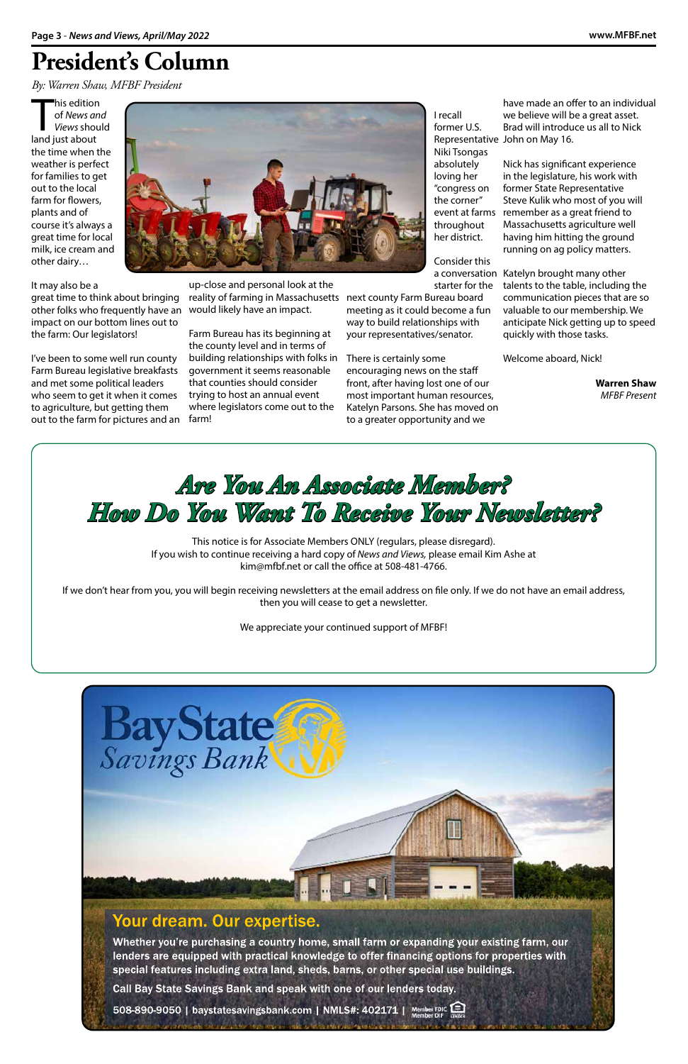### Your dream. Our expertise.

Whether you're purchasing a country home, small farm or expanding your existing farm, our lenders are equipped with practical knowledge to offer financing options for properties with special features including extra land, sheds, barns, or other special use buildings.

his edition<br>
of *News ar<br>
Views shout*<br>
land just about his edition of *News and Views* should the time when the weather is perfect for families to get out to the local farm for flowers, plants and of course it's always a great time for local milk, ice cream and other dairy…

Call Bay State Savings Bank and speak with one of our lenders today.

508-890-9050 | baystatesavingsbank.com | NMLS#: 402171 | Member FDIC



It may also be a

great time to think about bringing other folks who frequently have an impact on our bottom lines out to the farm: Our legislators!

I've been to some well run county Farm Bureau legislative breakfasts and met some political leaders who seem to get it when it comes to agriculture, but getting them out to the farm for pictures and an



up-close and personal look at the reality of farming in Massachusetts next county Farm Bureau board would likely have an impact.

Farm Bureau has its beginning at the county level and in terms of building relationships with folks in There is certainly some government it seems reasonable that counties should consider trying to host an annual event where legislators come out to the farm!

### **President's Column**

*By: Warren Shaw, MFBF President*

I recall former U.S.

Niki Tsongas absolutely loving her "congress on the corner"

throughout

her district. Consider this starter for the meeting as it could become a fun

way to build relationships with your representatives/senator.

Representative John on May 16. have made an offer to an individual we believe will be a great asset. Brad will introduce us all to Nick

encouraging news on the staff front, after having lost one of our most important human resources, Katelyn Parsons. She has moved on to a greater opportunity and we

event at farms remember as a great friend to Nick has significant experience in the legislature, his work with former State Representative Steve Kulik who most of you will Massachusetts agriculture well having him hitting the ground running on ag policy matters.

a conversation Katelyn brought many other talents to the table, including the communication pieces that are so valuable to our membership. We anticipate Nick getting up to speed quickly with those tasks.

Welcome aboard, Nick!

**Warren Shaw** *MFBF Present* 

### *Are You An Associate Member? How Do You Want To Receive Your Newsletter?*

This notice is for Associate Members ONLY (regulars, please disregard). If you wish to continue receiving a hard copy of *News and Views,* please email Kim Ashe at kim@mfbf.net or call the office at 508-481-4766.

If we don't hear from you, you will begin receiving newsletters at the email address on file only. If we do not have an email address, then you will cease to get a newsletter.

We appreciate your continued support of MFBF!



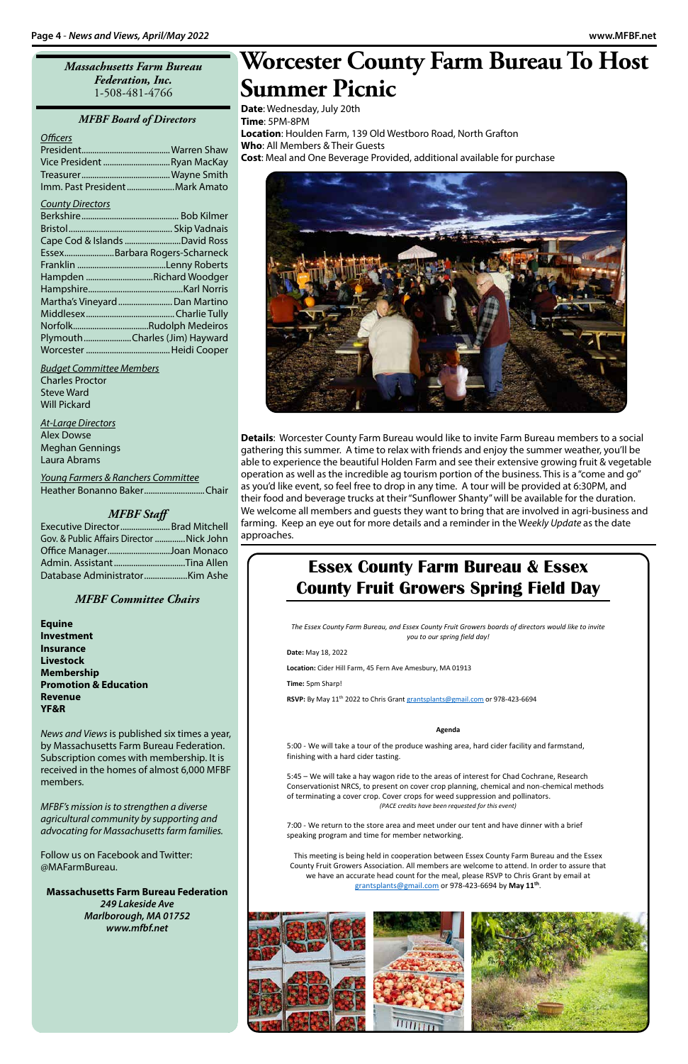#### *Massachusetts Farm Bureau Federation, Inc.* 1-508-481-4766

#### *MFBF Board of Directors*

#### *Officers*

| Vice President Ryan MacKay     |  |
|--------------------------------|--|
|                                |  |
| Imm. Past President Mark Amato |  |

#### *County Directors*

| Cape Cod & Islands David Ross  |
|--------------------------------|
| EssexBarbara Rogers-Scharneck  |
|                                |
| Hampden Richard Woodger        |
|                                |
| Martha's Vineyard  Dan Martino |
|                                |
|                                |
| PlymouthCharles (Jim) Hayward  |
|                                |

*Budget Committee Members* Charles Proctor Steve Ward Will Pickard

*At-Large Directors* Alex Dowse Meghan Gennings Laura Abrams

*Young Farmers & Ranchers Committee* Heather Bonanno Baker............................Chair

#### *MFBF Staff*

| Executive Director  Brad Mitchell        |  |
|------------------------------------------|--|
| Gov. & Public Affairs Director Nick John |  |
| Office ManagerJoan Monaco                |  |
|                                          |  |
|                                          |  |

#### *MFBF Committee Chairs*

**Equine Investment Insurance Livestock Membership Promotion & Education Revenue YF&R**

*News and Views* is published six times a year, by Massachusetts Farm Bureau Federation. Subscription comes with membership. It is received in the homes of almost 6,000 MFBF

members.

*MFBF's mission is to strengthen a diverse agricultural community by supporting and advocating for Massachusetts farm families.*

Follow us on Facebook and Twitter: @MAFarmBureau.

#### **Massachusetts Farm Bureau Federation**

*249 Lakeside Ave Marlborough, MA 01752 www.mfbf.net*

### **Worcester County Farm Bureau To Host Summer Picnic**

**Date**: Wednesday, July 20th **Time**: 5PM-8PM **Location**: Houlden Farm, 139 Old Westboro Road, North Grafton **Who**: All Members & Their Guests **Cost**: Meal and One Beverage Provided, additional available for purchase



**Details**: Worcester County Farm Bureau would like to invite Farm Bureau members to a social gathering this summer. A time to relax with friends and enjoy the summer weather, you'll be able to experience the beautiful Holden Farm and see their extensive growing fruit & vegetable operation as well as the incredible ag tourism portion of the business. This is a "come and go" as you'd like event, so feel free to drop in any time. A tour will be provided at 6:30PM, and their food and beverage trucks at their "Sunflower Shanty" will be available for the duration. We welcome all members and guests they want to bring that are involved in agri-business and farming. Keep an eye out for more details and a reminder in the W*eekly Update* as the date approaches.

### **Essex County Farm Bureau & Essex County Fruit Growers Spring Field Day**

*The Essex County Farm Bureau, and Essex County Fruit Growers boards of directors would like to invite you to our spring field day!*

**Date:** May 18, 2022

**Location:** Cider Hill Farm, 45 Fern Ave Amesbury, MA 01913

**Time:** 5pm Sharp!

**RSVP:** By May 11th 2022 to Chris Grant grantsplants@gmail.com or 978-423-6694

#### **Agenda**

5:00 - We will take a tour of the produce washing area, hard cider facility and farmstand, finishing with a hard cider tasting.

5:45 – We will take a hay wagon ride to the areas of interest for Chad Cochrane, Research

Conservationist NRCS, to present on cover crop planning, chemical and non-chemical methods of terminating a cover crop. Cover crops for weed suppression and pollinators. *(PACE credits have been requested for this event)*

7:00 - We return to the store area and meet under our tent and have dinner with a brief speaking program and time for member networking.

This meeting is being held in cooperation between Essex County Farm Bureau and the Essex County Fruit Growers Association. All members are welcome to attend. In order to assure that we have an accurate head count for the meal, please RSVP to Chris Grant by email at grantsplants@gmail.com or 978-423-6694 by **May 11th**.

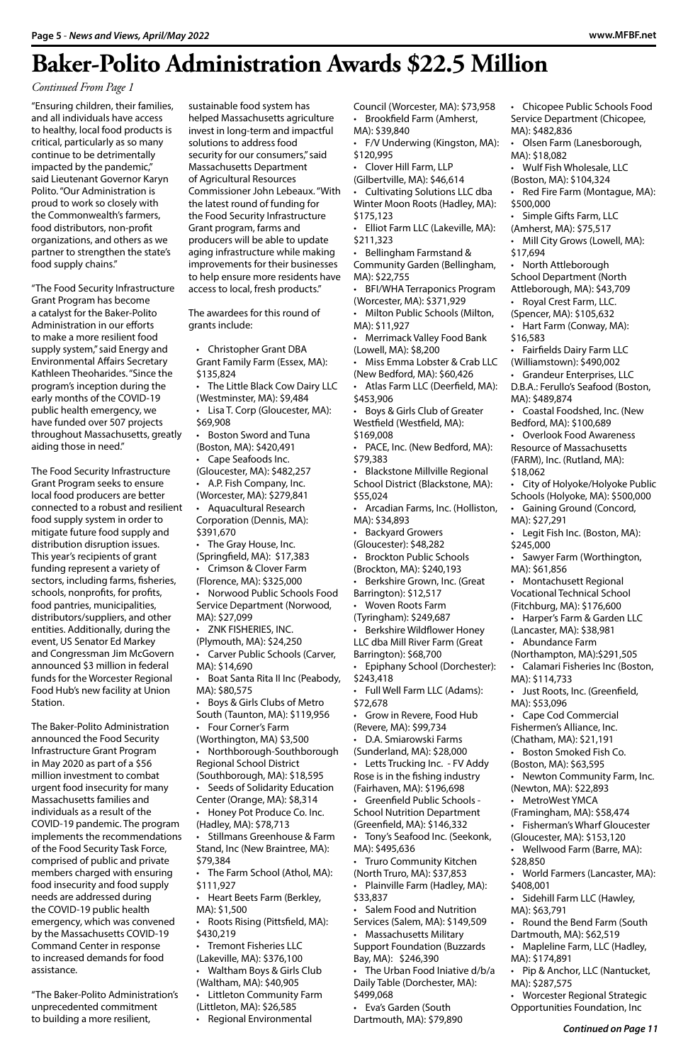"Ensuring children, their families, and all individuals have access to healthy, local food products is critical, particularly as so many continue to be detrimentally impacted by the pandemic," said Lieutenant Governor Karyn Polito. "Our Administration is proud to work so closely with the Commonwealth's farmers, food distributors, non-profit organizations, and others as we partner to strengthen the state's food supply chains."

"The Food Security Infrastructure Grant Program has become a catalyst for the Baker-Polito Administration in our efforts to make a more resilient food supply system," said Energy and Environmental Affairs Secretary Kathleen Theoharides. "Since the program's inception during the early months of the COVID-19 public health emergency, we have funded over 507 projects throughout Massachusetts, greatly aiding those in need."

The Food Security Infrastructure Grant Program seeks to ensure local food producers are better connected to a robust and resilient food supply system in order to mitigate future food supply and distribution disruption issues. This year's recipients of grant funding represent a variety of sectors, including farms, fisheries, schools, nonprofits, for profits, food pantries, municipalities, distributors/suppliers, and other entities. Additionally, during the event, US Senator Ed Markey and Congressman Jim McGovern announced \$3 million in federal funds for the Worcester Regional Food Hub's new facility at Union Station.

The Baker-Polito Administration announced the Food Security Infrastructure Grant Program in May 2020 as part of a \$56 million investment to combat urgent food insecurity for many Massachusetts families and individuals as a result of the COVID-19 pandemic. The program implements the recommendations of the Food Security Task Force, comprised of public and private members charged with ensuring food insecurity and food supply needs are addressed during the COVID-19 public health emergency, which was convened by the Massachusetts COVID-19 Command Center in response to increased demands for food assistance.

"The Baker-Polito Administration's unprecedented commitment to building a more resilient,

sustainable food system has helped Massachusetts agriculture invest in long-term and impactful solutions to address food security for our consumers," said Massachusetts Department of Agricultural Resources Commissioner John Lebeaux. "With the latest round of funding for the Food Security Infrastructure Grant program, farms and producers will be able to update aging infrastructure while making improvements for their businesses to help ensure more residents have access to local, fresh products."

The awardees for this round of grants include:

• Christopher Grant DBA Grant Family Farm (Essex, MA): \$135,824

- The Little Black Cow Dairy LLC (Westminster, MA): \$9,484
- Lisa T. Corp (Gloucester, MA): \$69,908
- Boston Sword and Tuna (Boston, MA): \$420,491
- Cape Seafoods Inc.
- (Gloucester, MA): \$482,257 • A.P. Fish Company, Inc. (Worcester, MA): \$279,841
- Aquacultural Research Corporation (Dennis, MA): \$391,670
- The Gray House, Inc. (Springfield, MA): \$17,383 • Crimson & Clover Farm
- (Florence, MA): \$325,000
- Norwood Public Schools Food Service Department (Norwood, MA): \$27,099
- ZNK FISHERIES, INC. (Plymouth, MA): \$24,250
- Carver Public Schools (Carver, MA): \$14,690
- Boat Santa Rita II Inc (Peabody, MA): \$80,575
- Boys & Girls Clubs of Metro South (Taunton, MA): \$119,956
- Four Corner's Farm (Worthington, MA) \$3,500
- Northborough-Southborough Regional School District (Southborough, MA): \$18,595

- Seeds of Solidarity Education Center (Orange, MA): \$8,314
- Honey Pot Produce Co. Inc. (Hadley, MA): \$78,713
- Stillmans Greenhouse & Farm Stand, Inc (New Braintree, MA): \$79,384
- The Farm School (Athol, MA): \$111,927
- Heart Beets Farm (Berkley, MA): \$1,500
- Roots Rising (Pittsfield, MA): \$430,219
- Tremont Fisheries LLC (Lakeville, MA): \$376,100
- Waltham Boys & Girls Club (Waltham, MA): \$40,905
- Littleton Community Farm (Littleton, MA): \$26,585
- Regional Environmental

Council (Worcester, MA): \$73,958 • Brookfield Farm (Amherst,

- MA): \$39,840
- F/V Underwing (Kingston, MA): \$120,995
- Clover Hill Farm, LLP
- (Gilbertville, MA): \$46,614
- Cultivating Solutions LLC dba Winter Moon Roots (Hadley, MA): \$175,123
- Elliot Farm LLC (Lakeville, MA): \$211,323
- Bellingham Farmstand & Community Garden (Bellingham, MA): \$22,755
- BFI/WHA Terraponics Program (Worcester, MA): \$371,929
- Milton Public Schools (Milton, MA): \$11,927
- Merrimack Valley Food Bank (Lowell, MA): \$8,200
- Miss Emma Lobster & Crab LLC (New Bedford, MA): \$60,426
- Atlas Farm LLC (Deerfield, MA): \$453,906
- Boys & Girls Club of Greater Westfield (Westfield, MA): \$169,008
- 
- PACE, Inc. (New Bedford, MA): \$79,383
- Blackstone Millville Regional School District (Blackstone, MA): \$55,024
- Arcadian Farms, Inc. (Holliston, MA): \$34,893
- Backyard Growers (Gloucester): \$48,282
- Brockton Public Schools (Brockton, MA): \$240,193
- Berkshire Grown, Inc. (Great Barrington): \$12,517
- Woven Roots Farm
- (Tyringham): \$249,687
- Berkshire Wildflower Honey LLC dba Mill River Farm (Great Barrington): \$68,700
- Epiphany School (Dorchester): \$243,418
- Full Well Farm LLC (Adams): \$72,678
- Grow in Revere, Food Hub (Revere, MA): \$99,734
- D.A. Smiarowski Farms (Sunderland, MA): \$28,000
- Letts Trucking Inc. FV Addy Rose is in the fishing industry

(Fairhaven, MA): \$196,698

- Greenfield Public Schools School Nutrition Department (Greenfield, MA): \$146,332
- Tony's Seafood Inc. (Seekonk, MA): \$495,636
- Truro Community Kitchen (North Truro, MA): \$37,853
- Plainville Farm (Hadley, MA): \$33,837
- Salem Food and Nutrition Services (Salem, MA): \$149,509
- Massachusetts Military Support Foundation (Buzzards Bay, MA): \$246,390
- The Urban Food Iniative d/b/a Daily Table (Dorchester, MA): \$499,068
- Eva's Garden (South Dartmouth, MA): \$79,890
- Chicopee Public Schools Food Service Department (Chicopee, MA): \$482,836
- Olsen Farm (Lanesborough, MA): \$18,082
- Wulf Fish Wholesale, LLC
- (Boston, MA): \$104,324
- Red Fire Farm (Montague, MA):
- \$500,000 • Simple Gifts Farm, LLC
- (Amherst, MA): \$75,517
- Mill City Grows (Lowell, MA): \$17,694
- North Attleborough School Department (North Attleborough, MA): \$43,709
- Royal Crest Farm, LLC.
- (Spencer, MA): \$105,632
- Hart Farm (Conway, MA):
- \$16,583
- Fairfields Dairy Farm LLC (Williamstown): \$490,002
- Grandeur Enterprises, LLC D.B.A.: Ferullo's Seafood (Boston,
- MA): \$489,874 • Coastal Foodshed, Inc. (New
- Bedford, MA): \$100,689 • Overlook Food Awareness Resource of Massachusetts (FARM), Inc. (Rutland, MA):
- \$18,062
- City of Holyoke/Holyoke Public Schools (Holyoke, MA): \$500,000
- Gaining Ground (Concord, MA): \$27,291
- Legit Fish Inc. (Boston, MA): \$245,000
- Sawyer Farm (Worthington, MA): \$61,856
- Montachusett Regional Vocational Technical School (Fitchburg, MA): \$176,600
- Harper's Farm & Garden LLC
- (Lancaster, MA): \$38,981
- Abundance Farm
- (Northampton, MA):\$291,505 • Calamari Fisheries Inc (Boston,
- MA): \$114,733
- Just Roots, Inc. (Greenfield, MA): \$53,096
- Cape Cod Commercial Fishermen's Alliance, Inc. (Chatham, MA): \$21,191
- Boston Smoked Fish Co.
- (Boston, MA): \$63,595
- Newton Community Farm, Inc.

(Newton, MA): \$22,893

- MetroWest YMCA (Framingham, MA): \$58,474
- Fisherman's Wharf Gloucester (Gloucester, MA): \$153,120
- Wellwood Farm (Barre, MA): \$28,850
- World Farmers (Lancaster, MA): \$408,001
- Sidehill Farm LLC (Hawley, MA): \$63,791
- Round the Bend Farm (South Dartmouth, MA): \$62,519
- Mapleline Farm, LLC (Hadley, MA): \$174,891
- Pip & Anchor, LLC (Nantucket, MA): \$287,575
- Worcester Regional Strategic Opportunities Foundation, Inc

### **Baker-Polito Administration Awards \$22.5 Million**

*Continued From Page 1*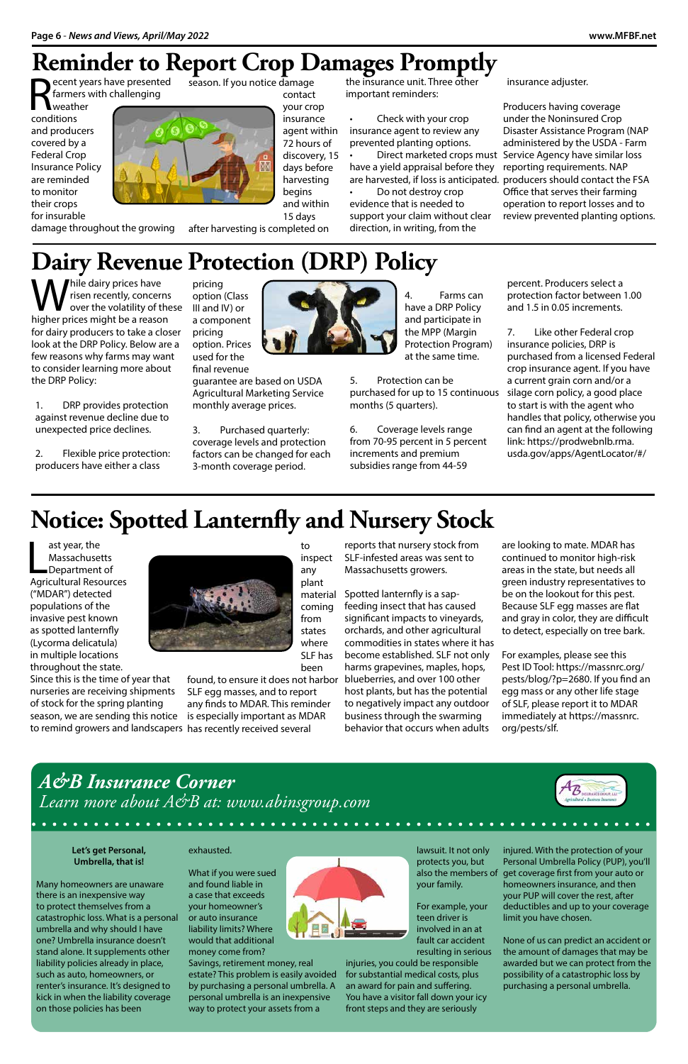pricing option (Class III and IV) or a component

pricing

option. Prices used for the final revenue

guarantee are based on USDA Agricultural Marketing Service

ecent years have presented farmers with challenging

monthly average prices.

**Weather** conditions and producers covered by a Federal Crop Insurance Policy are reminded to monitor their crops for insurable



3. Purchased quarterly: coverage levels and protection factors can be changed for each 3-month coverage period.

the insurance unit. Three other important reminders:

damage throughout the growing

season. If you notice damage contact your crop insurance agent within 72 hours of discovery, 15 days before harvesting begins and within 15 days

after harvesting is completed on

### **Reminder to Report Crop Damages Promptly**

• Check with your crop insurance agent to review any prevented planting options. • Direct marketed crops must have a yield appraisal before they are harvested, if loss is anticipated. producers should contact the FSA • Do not destroy crop

evidence that is needed to support your claim without clear direction, in writing, from the

hile dairy prices have risen recently, concerns over the volatility of these higher prices might be a reason for dairy producers to take a closer look at the DRP Policy. Below are a few reasons why farms may want to consider learning more about the DRP Policy:

insurance adjuster.

Producers having coverage under the Noninsured Crop Disaster Assistance Program (NAP administered by the USDA - Farm Service Agency have similar loss reporting requirements. NAP Office that serves their farming operation to report losses and to review prevented planting options.



### *Learn more about A&B at: www.abinsgroup.com*

#### 

**Let's get Personal, Umbrella, that is!**

Many homeowners are unaware there is an inexpensive way to protect themselves from a catastrophic loss. What is a personal umbrella and why should I have one? Umbrella insurance doesn't stand alone. It supplements other liability policies already in place, such as auto, homeowners, or renter's insurance. It's designed to kick in when the liability coverage on those policies has been

## **Dairy Revenue Protection (DRP) Policy**

ast year, the<br>
Massachusetts<br>
Department of<br>
Agricultural Resources ast year, the Massachusetts Department of ("MDAR") detected populations of the invasive pest known as spotted lanternfly (Lycorma delicatula) in multiple locations throughout the state.

1. DRP provides protection against revenue decline due to unexpected price declines.

2. Flexible price protection: producers have either a class



4. Farms can have a DRP Policy and participate in the MPP (Margin Protection Program) at the same time.

5. Protection can be purchased for up to 15 continuous silage corn policy, a good place months (5 quarters).

6. Coverage levels range from 70-95 percent in 5 percent increments and premium subsidies range from 44-59

percent. Producers select a protection factor between 1.00 and 1.5 in 0.05 increments.

7. Like other Federal crop insurance policies, DRP is purchased from a licensed Federal crop insurance agent. If you have a current grain corn and/or a to start is with the agent who handles that policy, otherwise you can find an agent at the following link: https://prodwebnlb.rma. usda.gov/apps/AgentLocator/#/

#### exhausted.

What if you were sued and found liable in a case that exceeds your homeowner's or auto insurance liability limits? Where would that additional money come from?

Savings, retirement money, real estate? This problem is easily avoided by purchasing a personal umbrella. A personal umbrella is an inexpensive way to protect your assets from a



lawsuit. It not only protects you, but also the members of your family.

For example, your teen driver is involved in an at fault car accident

resulting in serious injuries, you could be responsible for substantial medical costs, plus an award for pain and suffering. You have a visitor fall down your icy front steps and they are seriously

injured. With the protection of your Personal Umbrella Policy (PUP), you'll get coverage first from your auto or homeowners insurance, and then your PUP will cover the rest, after deductibles and up to your coverage limit you have chosen.

None of us can predict an accident or the amount of damages that may be awarded but we can protect from the possibility of a catastrophic loss by purchasing a personal umbrella.

to

Since this is the time of year that nurseries are receiving shipments of stock for the spring planting season, we are sending this notice is especially important as MDAR to remind growers and landscapers has recently received several



inspect any plant material coming from states where SLF has been

found, to ensure it does not harbor blueberries, and over 100 other SLF egg masses, and to report any finds to MDAR. This reminder

## **Notice: Spotted Lanternfly and Nursery Stock**

reports that nursery stock from SLF-infested areas was sent to Massachusetts growers.

Spotted lanternfly is a sapfeeding insect that has caused significant impacts to vineyards, orchards, and other agricultural commodities in states where it has become established. SLF not only harms grapevines, maples, hops, host plants, but has the potential to negatively impact any outdoor business through the swarming behavior that occurs when adults

are looking to mate. MDAR has continued to monitor high-risk areas in the state, but needs all green industry representatives to be on the lookout for this pest. Because SLF egg masses are flat and gray in color, they are difficult to detect, especially on tree bark.

For examples, please see this Pest ID Tool: https://massnrc.org/ pests/blog/?p=2680. If you find an egg mass or any other life stage of SLF, please report it to MDAR immediately at https://massnrc. org/pests/slf.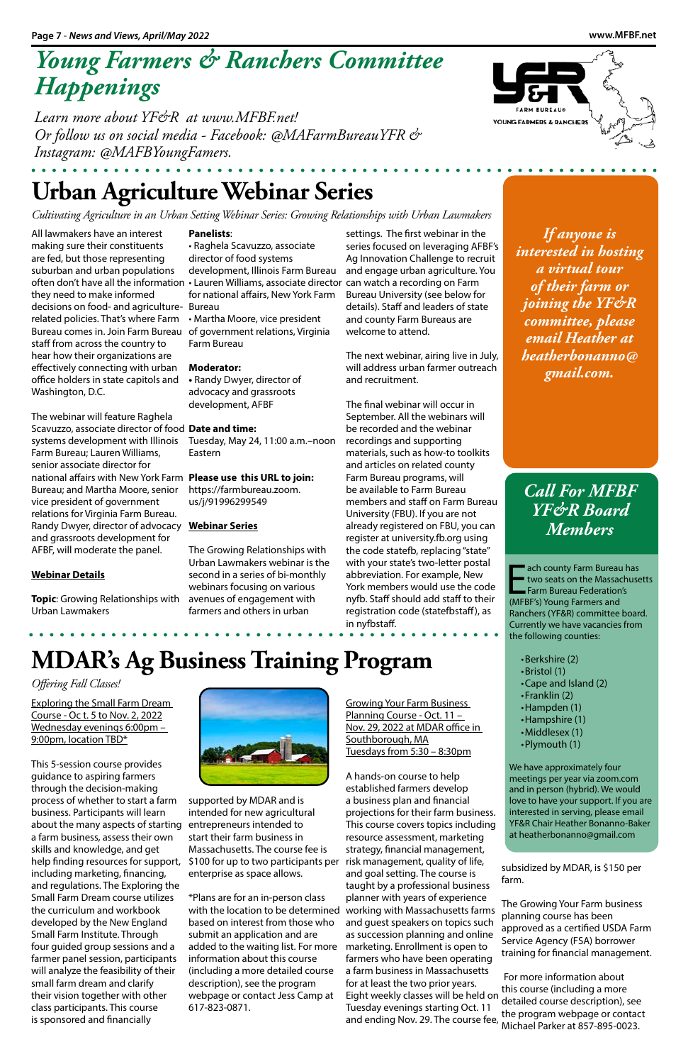### *Young Farmers & Ranchers Committee Happenings*

*Learn more about YF&R at www.MFBF.net! Or follow us on social media - Facebook: @MAFarmBureauYFR & Instagram: @MAFBYoungFamers.*

> **Example 18 Accounty Farm Bureau Federation**<br> **Example 18 Account Farm Bureau Federation**<br>
> (MFBF's) Young Farmers and ach county Farm Bureau has two seats on the Massachusetts Farm Bureau Federation's Ranchers (YF&R) committee board. Currently we have vacancies from the following counties:

*Call For MFBF YF&R Board Members*

- •Berkshire (2)
- •Bristol (1)
- •Cape and Island (2)
- •Franklin (2)
- •Hampden (1)
- •Hampshire (1)
- •Middlesex (1)
- 
- •Plymouth (1)
- 
- 

We have approximately four meetings per year via zoom.com and in person (hybrid). We would love to have your support. If you are interested in serving, please email YF&R Chair Heather Bonanno-Baker at heatherbonanno@gmail.com

*If anyone is interested in hosting a virtual tour of their farm or joining the YF&R committee, please email Heather at heatherbonanno@ gmail.com.* 

### **Urban Agriculture Webinar Series**

*Cultivating Agriculture in an Urban Setting Webinar Series: Growing Relationships with Urban Lawmakers*

All lawmakers have an interest making sure their constituents are fed, but those representing suburban and urban populations often don't have all the information they need to make informed decisions on food- and agriculture-Bureau related policies. That's where Farm Bureau comes in. Join Farm Bureau of government relations, Virginia staff from across the country to hear how their organizations are effectively connecting with urban office holders in state capitols and Washington, D.C.

The webinar will feature Raghela Scavuzzo, associate director of food **Date and time:**  systems development with Illinois Farm Bureau; Lauren Williams, senior associate director for national affairs with New York Farm **Please use this URL to join:**  Bureau; and Martha Moore, senior vice president of government relations for Virginia Farm Bureau. Randy Dwyer, director of advocacy **Webinar Series** and grassroots development for AFBF, will moderate the panel.

Exploring the Small Farm Dream Course - Oc t. 5 to Nov. 2, 2022 Wednesday evenings 6:00pm – 9:00pm, location TBD\*

#### **Webinar Details**

**Topic**: Growing Relationships with avenues of engagement with Urban Lawmakers

#### **Panelists**:

• Raghela Scavuzzo, associate director of food systems development, Illinois Farm Bureau • Lauren Williams, associate director can watch a recording on Farm for national affairs, New York Farm • Martha Moore, vice president

Farm Bureau

#### **Moderator:**

**•** Randy Dwyer, director of advocacy and grassroots development, AFBF

Tuesday, May 24, 11:00 a.m.–noon Eastern

https://farmbureau.zoom. us/j/91996299549

The Growing Relationships with Urban Lawmakers webinar is the second in a series of bi-monthly webinars focusing on various farmers and others in urban

settings. The first webinar in the series focused on leveraging AFBF's Ag Innovation Challenge to recruit and engage urban agriculture. You Bureau University (see below for details). Staff and leaders of state and county Farm Bureaus are welcome to attend.

The next webinar, airing live in July, will address urban farmer outreach and recruitment.

The final webinar will occur in September. All the webinars will be recorded and the webinar recordings and supporting materials, such as how-to toolkits and articles on related county Farm Bureau programs, will be available to Farm Bureau members and staff on Farm Bureau University (FBU). If you are not already registered on FBU, you can register at university.fb.org using the code statefb, replacing "state" with your state's two-letter postal abbreviation. For example, New York members would use the code nyfb. Staff should add staff to their registration code (statefbstaff), as in nyfbstaff.



*Offering Fall Classes!*

This 5-session course provides guidance to aspiring farmers through the decision-making process of whether to start a farm business. Participants will learn about the many aspects of starting entrepreneurs intended to a farm business, assess their own skills and knowledge, and get help finding resources for support, \$100 for up to two participants per including marketing, financing, and regulations. The Exploring the Small Farm Dream course utilizes the curriculum and workbook developed by the New England Small Farm Institute. Through four guided group sessions and a farmer panel session, participants will analyze the feasibility of their small farm dream and clarify their vision together with other class participants. This course is sponsored and financially



supported by MDAR and is intended for new agricultural start their farm business in Massachusetts. The course fee is enterprise as space allows.

\*Plans are for an in-person class with the location to be determined based on interest from those who submit an application and are added to the waiting list. For more information about this course (including a more detailed course description), see the program webpage or contact Jess Camp at 617-823-0871.

Growing Your Farm Business Planning Course - Oct. 11 -Nov. 29, 2022 at MDAR office in Southborough, MA Tuesdays from 5:30 – 8:30pm

A hands-on course to help





established farmers develop a business plan and financial projections for their farm business. This course covers topics including resource assessment, marketing strategy, financial management, risk management, quality of life, and goal setting. The course is taught by a professional business planner with years of experience working with Massachusetts farms and guest speakers on topics such as succession planning and online marketing. Enrollment is open to farmers who have been operating a farm business in Massachusetts for at least the two prior years. Eight weekly classes will be held on Tuesday evenings starting Oct. 11 and ending Nov. 29. The course fee,

subsidized by MDAR, is \$150 per farm.

The Growing Your Farm business planning course has been approved as a certified USDA Farm Service Agency (FSA) borrower training for financial management.

 For more information about this course (including a more detailed course description), see the program webpage or contact Michael Parker at 857-895-0023.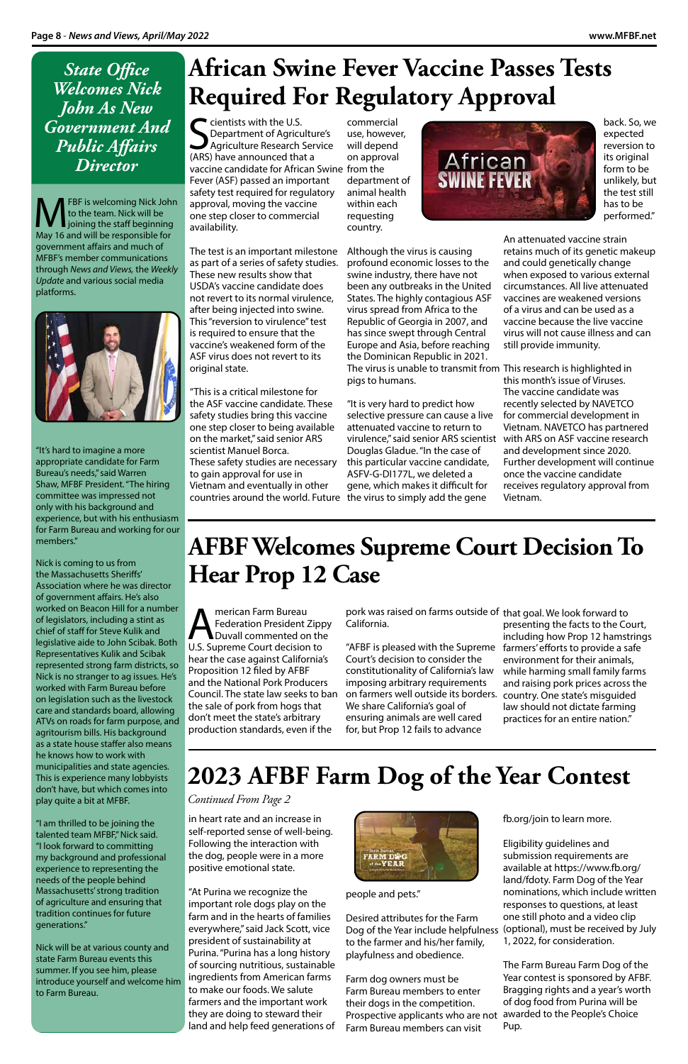*State Office Welcomes Nick John As New Government And Public Affairs Director*

FBF is welcoming Nick John to the team. Nick will be joining the staff beginning May 16 and will be responsible for government affairs and much of MFBF's member communications through *News and Views,* the *Weekly Update* and various social media platforms.



"It's hard to imagine a more appropriate candidate for Farm Bureau's needs," said Warren Shaw, MFBF President. "The hiring committee was impressed not only with his background and experience, but with his enthusiasm for Farm Bureau and working for our members."

Nick is coming to us from the Massachusetts Sheriffs' Association where he was director of government affairs. He's also worked on Beacon Hill for a number of legislators, including a stint as chief of staff for Steve Kulik and legislative aide to John Scibak. Both Representatives Kulik and Scibak represented strong farm districts, so Nick is no stranger to ag issues. He's worked with Farm Bureau before on legislation such as the livestock care and standards board, allowing ATVs on roads for farm purpose, and agritourism bills. His background as a state house staffer also means he knows how to work with municipalities and state agencies. This is experience many lobbyists

don't have, but which comes into play quite a bit at MFBF.

"I am thrilled to be joining the talented team MFBF," Nick said. "I look forward to committing my background and professional experience to representing the needs of the people behind Massachusetts' strong tradition of agriculture and ensuring that tradition continues for future generations."

Separtment of Agriculture Research<br>
Agriculture Research<br>
(ARS) have announced that Department of Agriculture's Agriculture Research Service (ARS) have announced that a vaccine candidate for African Swine from the Fever (ASF) passed an important safety test required for regulatory approval, moving the vaccine one step closer to commercial availability.

Nick will be at various county and state Farm Bureau events this summer. If you see him, please introduce yourself and welcome him to Farm Bureau.

in heart rate and an increase in self-reported sense of well-being. Following the interaction with the dog, people were in a more positive emotional state.

"At Purina we recognize the important role dogs play on the farm and in the hearts of families everywhere," said Jack Scott, vice president of sustainability at Purina. "Purina has a long history of sourcing nutritious, sustainable ingredients from American farms to make our foods. We salute farmers and the important work they are doing to steward their land and help feed generations of



people and pets."

Desired attributes for the Farm Dog of the Year include helpfulness to the farmer and his/her family, playfulness and obedience.

Farm dog owners must be Farm Bureau members to enter their dogs in the competition. Prospective applicants who are not Farm Bureau members can visit

fb.org/join to learn more.

Eligibility guidelines and submission requirements are available at https://www.fb.org/ land/fdoty. Farm Dog of the Year nominations, which include written responses to questions, at least one still photo and a video clip (optional), must be received by July 1, 2022, for consideration.

The Farm Bureau Farm Dog of the Year contest is sponsored by AFBF. Bragging rights and a year's worth of dog food from Purina will be awarded to the People's Choice Pup.

Merican Farm Bureau<br>
Federation President 2<br>
Duvall commented or Federation President Zippy Duvall commented on the U.S. Supreme Court decision to hear the case against California's Proposition 12 filed by AFBF and the National Pork Producers Council. The state law seeks to ban the sale of pork from hogs that don't meet the state's arbitrary production standards, even if the

### **2023 AFBF Farm Dog of the Year Contest**

*Continued From Page 2*

The test is an important milestone as part of a series of safety studies. These new results show that USDA's vaccine candidate does not revert to its normal virulence, after being injected into swine. This "reversion to virulence" test is required to ensure that the vaccine's weakened form of the ASF virus does not revert to its original state.

### **African Swine Fever Vaccine Passes Tests Required For Regulatory Approval**

commercial use, however, will depend on approval department of animal health within each requesting country.

"This is a critical milestone for the ASF vaccine candidate. These safety studies bring this vaccine one step closer to being available on the market," said senior ARS scientist Manuel Borca. These safety studies are necessary to gain approval for use in Vietnam and eventually in other countries around the world. Future the virus to simply add the gene

Although the virus is causing profound economic losses to the swine industry, there have not been any outbreaks in the United States. The highly contagious ASF virus spread from Africa to the Republic of Georgia in 2007, and has since swept through Central Europe and Asia, before reaching the Dominican Republic in 2021. The virus is unable to transmit from This research is highlighted in pigs to humans.

"It is very hard to predict how selective pressure can cause a live attenuated vaccine to return to virulence," said senior ARS scientist Douglas Gladue. "In the case of this particular vaccine candidate, ASFV-G-DI177L, we deleted a gene, which makes it difficult for



back. So, we expected reversion to its original form to be unlikely, but the test still has to be performed."

An attenuated vaccine strain retains much of its genetic makeup and could genetically change when exposed to various external circumstances. All live attenuated vaccines are weakened versions of a virus and can be used as a vaccine because the live vaccine virus will not cause illness and can still provide immunity.

this month's issue of Viruses. The vaccine candidate was recently selected by NAVETCO for commercial development in Vietnam. NAVETCO has partnered with ARS on ASF vaccine research and development since 2020. Further development will continue once the vaccine candidate receives regulatory approval from Vietnam.

### **AFBF Welcomes Supreme Court Decision To Hear Prop 12 Case**

pork was raised on farms outside of that goal. We look forward to California.

"AFBF is pleased with the Supreme Court's decision to consider the constitutionality of California's law imposing arbitrary requirements on farmers well outside its borders. We share California's goal of ensuring animals are well cared for, but Prop 12 fails to advance

presenting the facts to the Court, including how Prop 12 hamstrings farmers' efforts to provide a safe environment for their animals, while harming small family farms and raising pork prices across the country. One state's misguided law should not dictate farming practices for an entire nation."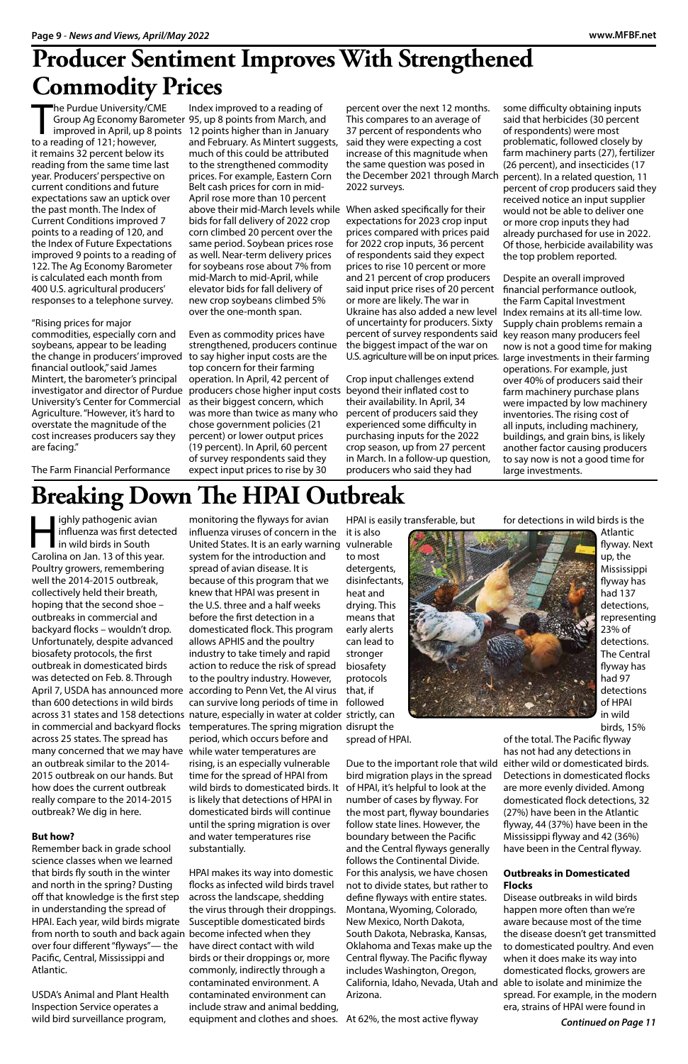The Purdue University/CM<br>Group Ag Economy Baro<br>improved in April, up 8 p<br>to a reading of 121; however, he Purdue University/CME it remains 32 percent below its reading from the same time last year. Producers' perspective on current conditions and future expectations saw an uptick over the past month. The Index of Current Conditions improved 7 points to a reading of 120, and the Index of Future Expectations improved 9 points to a reading of 122. The Ag Economy Barometer is calculated each month from 400 U.S. agricultural producers' responses to a telephone survey.

#### "Rising prices for major

commodities, especially corn and soybeans, appear to be leading the change in producers' improved to say higher input costs are the financial outlook," said James Mintert, the barometer's principal investigator and director of Purdue University's Center for Commercial Agriculture. "However, it's hard to overstate the magnitude of the cost increases producers say they are facing."

Group Ag Economy Barometer 95, up 8 points from March, and improved in April, up 8 points 12 points higher than in January Index improved to a reading of and February. As Mintert suggests, much of this could be attributed to the strengthened commodity prices. For example, Eastern Corn Belt cash prices for corn in mid-April rose more than 10 percent above their mid-March levels while When asked specifically for their bids for fall delivery of 2022 crop corn climbed 20 percent over the same period. Soybean prices rose as well. Near-term delivery prices for soybeans rose about 7% from mid-March to mid-April, while elevator bids for fall delivery of new crop soybeans climbed 5% over the one-month span.

The Farm Financial Performance

### **Producer Sentiment Improves With Strengthened Commodity Prices**

Even as commodity prices have strengthened, producers continue top concern for their farming operation. In April, 42 percent of producers chose higher input costs beyond their inflated cost to as their biggest concern, which was more than twice as many who chose government policies (21 percent) or lower output prices (19 percent). In April, 60 percent of survey respondents said they expect input prices to rise by 30

percent over the next 12 months. This compares to an average of 37 percent of respondents who said they were expecting a cost increase of this magnitude when the same question was posed in the December 2021 through March 2022 surveys.

ighly pathogenic avian influenza was first detected I in wild birds in South Carolina on Jan. 13 of this year. Poultry growers, remembering well the 2014-2015 outbreak, collectively held their breath, hoping that the second shoe – outbreaks in commercial and backyard flocks – wouldn't drop. Unfortunately, despite advanced biosafety protocols, the first outbreak in domesticated birds was detected on Feb. 8. Through April 7, USDA has announced more according to Penn Vet, the AI virus than 600 detections in wild birds across 25 states. The spread has many concerned that we may have an outbreak similar to the 2014- 2015 outbreak on our hands. But how does the current outbreak really compare to the 2014-2015 outbreak? We dig in here.

expectations for 2023 crop input prices compared with prices paid for 2022 crop inputs, 36 percent of respondents said they expect prices to rise 10 percent or more and 21 percent of crop producers said input price rises of 20 percent or more are likely. The war in Ukraine has also added a new level of uncertainty for producers. Sixty percent of survey respondents said the biggest impact of the war on U.S. agriculture will be on input prices.

Crop input challenges extend their availability. In April, 34 percent of producers said they experienced some difficulty in purchasing inputs for the 2022 crop season, up from 27 percent in March. In a follow-up question, producers who said they had

some difficulty obtaining inputs said that herbicides (30 percent of respondents) were most problematic, followed closely by farm machinery parts (27), fertilizer (26 percent), and insecticides (17 percent). In a related question, 11 percent of crop producers said they received notice an input supplier would not be able to deliver one or more crop inputs they had already purchased for use in 2022. Of those, herbicide availability was the top problem reported.

Despite an overall improved financial performance outlook, the Farm Capital Investment Index remains at its all-time low. Supply chain problems remain a key reason many producers feel now is not a good time for making large investments in their farming operations. For example, just over 40% of producers said their farm machinery purchase plans were impacted by low machinery inventories. The rising cost of all inputs, including machinery, buildings, and grain bins, is likely another factor causing producers to say now is not a good time for large investments.

## **Breaking Down The HPAI Outbreak**

#### **But how?**

Remember back in grade school science classes when we learned that birds fly south in the winter and north in the spring? Dusting off that knowledge is the first step in understanding the spread of HPAI. Each year, wild birds migrate from north to south and back again become infected when they over four different "flyways"— the Pacific, Central, Mississippi and Atlantic.

USDA's Animal and Plant Health Inspection Service operates a wild bird surveillance program,

across 31 states and 158 detections nature, especially in water at colder strictly, can in commercial and backyard flocks temperatures. The spring migration disrupt the monitoring the flyways for avian influenza viruses of concern in the United States. It is an early warning vulnerable system for the introduction and spread of avian disease. It is because of this program that we knew that HPAI was present in the U.S. three and a half weeks before the first detection in a domesticated flock. This program allows APHIS and the poultry industry to take timely and rapid action to reduce the risk of spread to the poultry industry. However, can survive long periods of time in followed period, which occurs before and while water temperatures are rising, is an especially vulnerable time for the spread of HPAI from

> is likely that detections of HPAI in domesticated birds will continue until the spring migration is over and water temperatures rise substantially.

HPAI is easily transferable, but

it is also to most detergents, disinfectants, heat and drying. This means that early alerts can lead to stronger biosafety protocols that, if

wild birds to domesticated birds. It of HPAI, it's helpful to look at the number of cases by flyway. For the most part, flyway boundaries follow state lines. However, the boundary between the Pacific and the Central flyways generally follows the Continental Divide. For this analysis, we have chosen not to divide states, but rather to define flyways with entire states. Montana, Wyoming, Colorado, New Mexico, North Dakota, South Dakota, Nebraska, Kansas, Oklahoma and Texas make up the Central flyway. The Pacific flyway includes Washington, Oregon, California, Idaho, Nevada, Utah and Arizona.

spread of HPAI.

HPAI makes its way into domestic flocks as infected wild birds travel across the landscape, shedding the virus through their droppings. Susceptible domesticated birds have direct contact with wild birds or their droppings or, more commonly, indirectly through a contaminated environment. A contaminated environment can include straw and animal bedding, equipment and clothes and shoes. At 62%, the most active flyway

bird migration plays in the spread

Due to the important role that wild either wild or domesticated birds. of the total. The Pacific flyway has not had any detections in Detections in domesticated flocks

for detections in wild birds is the



Atlantic

flyway. Next up, the Mississippi flyway has had 137 detections, representing 23% of detections. The Central flyway has had 97 detections of HPAI in wild birds, 15%

are more evenly divided. Among domesticated flock detections, 32 (27%) have been in the Atlantic flyway, 44 (37%) have been in the Mississippi flyway and 42 (36%) have been in the Central flyway.

#### **Outbreaks in Domesticated Flocks**

Disease outbreaks in wild birds happen more often than we're aware because most of the time the disease doesn't get transmitted to domesticated poultry. And even when it does make its way into domesticated flocks, growers are able to isolate and minimize the spread. For example, in the modern era, strains of HPAI were found in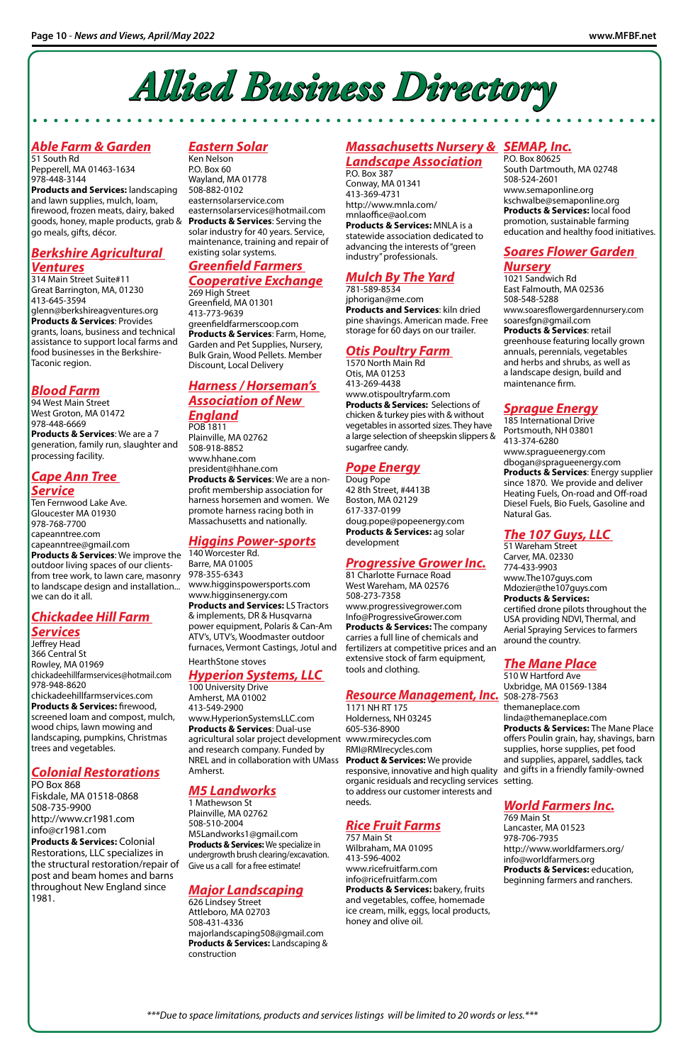#### *Massachusetts Nursery & SEMAP, Inc. Landscape Association*

P.O. Box 387 Conway, MA 01341 413-369-4731 http://www.mnla.com/ mnlaoffice@aol.com **Products & Services:** MNLA is a statewide association dedicated to advancing the interests of "green industry" professionals.

#### *Mulch By The Yard*

781-589-8534 jphorigan@me.com **Products and Services**: kiln dried pine shavings. American made. Free storage for 60 days on our trailer.

#### *Otis Poultry Farm*

1570 North Main Rd Otis, MA 01253 413-269-4438 www.otispoultryfarm.com **Products & Services:** Selections of chicken & turkey pies with & without vegetables in assorted sizes. They have a large selection of sheepskin slippers & sugarfree candy.

#### *Pope Energy*

Doug Pope 42 8th Street, #4413B Boston, MA 02129 617-337-0199 doug.pope@popeenergy.com **Products & Services:** ag solar development

#### *Progressive Grower Inc.*

81 Charlotte Furnace Road West Wareham, MA 02576 508-273-7358 www.progressivegrower.com Info@ProgressiveGrower.com **Products & Services:** The company carries a full line of chemicals and fertilizers at competitive prices and an extensive stock of farm equipment, tools and clothing.

1171 NH RT 175 Holderness, NH 03245 605-536-8900 RMI@RMIrecycles.com

**Product & Services:** We provide responsive, innovative and high quality and gifts in a friendly family-owned organic residuals and recycling services setting. to address our customer interests and needs.

#### *Rice Fruit Farms*

agricultural solar project development www.rmirecycles.com 100 University Drive Amherst, MA 01002 413-549-2900 www.HyperionSystemsLLC.com **Products & Services**: Dual-use and research company. Funded by NREL and in collaboration with UMass Amherst.

> 757 Main St Wilbraham, MA 01095 413-596-4002 www.ricefruitfarm.com info@ricefruitfarm.com **Products & Services:** bakery, fruits and vegetables, coffee, homemade ice cream, milk, eggs, local products, honey and olive oil.

#### *Eastern Solar*

goods, honey, maple products, grab & **Products & Services**: Serving the **Products and Services:** landscaping and lawn supplies, mulch, loam, firewood, frozen meats, dairy, baked go meals, gifts, décor.

Ken Nelson P.O. Box 60 Wayland, MA 01778 508-882-0102 easternsolarservice.com easternsolarservices@hotmail.com solar industry for 40 years. Service, maintenance, training and repair of existing solar systems.

#### *Greenfield Farmers Cooperative Exchange*

#### *Cape Ann Tree Service*

269 High Street Greenfield, MA 01301 413-773-9639 greenfieldfarmerscoop.com **Products & Services**: Farm, Home, Garden and Pet Supplies, Nursery, Bulk Grain, Wood Pellets. Member Discount, Local Delivery

**Products & Services**: We improve the 140 Worcester Rd. from tree work, to lawn care, masonry 978-355-6343 Ten Fernwood Lake Ave. Gloucester MA 01930 978-768-7700 capeanntree.com capeanntree@gmail.com outdoor living spaces of our clientsto landscape design and installation... we can do it all.

#### *Harness / Horseman's Association of New England*

POB 1811 Plainville, MA 02762 508-918-8852 www.hhane.com president@hhane.com **Products & Services**: We are a nonprofit membership association for harness horsemen and women. We promote harness racing both in Massachusetts and nationally.

#### *Higgins Power-sports*

Barre, MA 01005 www.higginspowersports.com www.higginsenergy.com **Products and Services:** LS Tractors & implements, DR & Husqvarna power equipment, Polaris & Can-Am ATV's, UTV's, Woodmaster outdoor furnaces, Vermont Castings, Jotul and HearthStone stoves

#### *Hyperion Systems, LLC*

#### *M5 Landworks*

1 Mathewson St Plainville, MA 02762 508-510-2004 M5Landworks1@gmail.com **Products & Services:** We specialize in undergrowth brush clearing/excavation. Give us a call for a free estimate!

#### *Major Landscaping*

626 Lindsey Street Attleboro, MA 02703 508-431-4336 majorlandscaping508@gmail.com **Products & Services:** Landscaping & construction

#### *Able Farm & Garden*

51 South Rd Pepperell, MA 01463-1634 978-448-3144

#### *Resource Management, Inc.* 508-278-7563

#### *Berkshire Agricultural Ventures*

314 Main Street Suite#11 Great Barrington, MA, 01230 413-645-3594 glenn@berkshireagventures.org **Products & Services**: Provides grants, loans, business and technical assistance to support local farms and food businesses in the Berkshire-Taconic region.

#### *Blood Farm*

94 West Main Street West Groton, MA 01472 978-448-6669 **Products & Services**: We are a 7 generation, family run, slaughter and processing facility.

#### *Chickadee Hill Farm Services*

Jeffrey Head 366 Central St Rowley, MA 01969 chickadeehillfarmservices@hotmail.com 978-948-8620 chickadeehillfarmservices.com **Products & Services:** firewood, screened loam and compost, mulch, wood chips, lawn mowing and landscaping, pumpkins, Christmas trees and vegetables.

### *Colonial Restorations*

PO Box 868 Fiskdale, MA 01518-0868 508-735-9900 http://www.cr1981.com info@cr1981.com **Products & Services:** Colonial Restorations, LLC specializes in the structural restoration/repair of post and beam homes and barns throughout New England since 1981.

P.O. Box 80625 South Dartmouth, MA 02748 508-524-2601 www.semaponline.org kschwalbe@semaponline.org **Products & Services:** local food promotion, sustainable farming education and healthy food initiatives.

### *Soares Flower Garden*

#### *Nursery*

1021 Sandwich Rd East Falmouth, MA 02536 508-548-5288 www.soaresflowergardennursery.com soaresfgn@gmail.com **Products & Services**: retail greenhouse featuring locally grown annuals, perennials, vegetables and herbs and shrubs, as well as a landscape design, build and maintenance firm.

#### *Sprague Energy*

185 International Drive Portsmouth, NH 03801 413-374-6280 www.spragueenergy.com dbogan@spragueenergy.com **Products & Services**: Energy supplier since 1870. We provide and deliver Heating Fuels, On-road and Off-road Diesel Fuels, Bio Fuels, Gasoline and Natural Gas.

#### *The 107 Guys, LLC*

51 Wareham Street Carver, MA. 02330 774-433-9903 www.The107guys.com Mdozier@the107guys.com **Products & Services:** certified drone pilots throughout the USA providing NDVI, Thermal, and Aerial Spraying Services to farmers around the country.

#### *The Mane Place*

510 W Hartford Ave Uxbridge, MA 01569-1384 themaneplace.com linda@themaneplace.com **Products & Services:** The Mane Place offers Poulin grain, hay, shavings, barn supplies, horse supplies, pet food and supplies, apparel, saddles, tack

#### *World Farmers Inc.*

769 Main St Lancaster, MA 01523 978-706-7935 http://www.worldfarmers.org/ info@worldfarmers.org **Products & Services:** education, beginning farmers and ranchers.



*\*\*\*Due to space limitations, products and services listings will be limited to 20 words or less.\*\*\**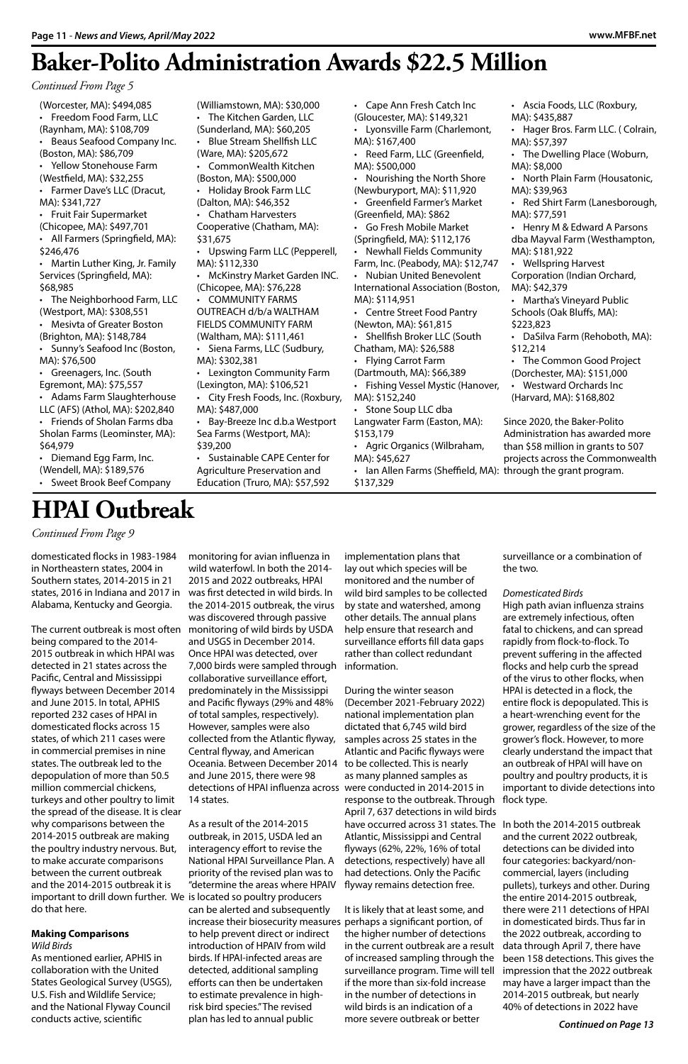### **Baker-Polito Administration Awards \$22.5 Million**

*Continued From Page 5*

(Worcester, MA): \$494,085 • Freedom Food Farm, LLC (Raynham, MA): \$108,709 • Beaus Seafood Company Inc. (Boston, MA): \$86,709 • Yellow Stonehouse Farm (Westfield, MA): \$32,255 • Farmer Dave's LLC (Dracut, MA): \$341,727 • Fruit Fair Supermarket (Chicopee, MA): \$497,701 • All Farmers (Springfield, MA): \$246,476 • Martin Luther King, Jr. Family Services (Springfield, MA): \$68,985 • The Neighborhood Farm, LLC (Westport, MA): \$308,551 • Mesivta of Greater Boston (Brighton, MA): \$148,784 • Sunny's Seafood Inc (Boston, MA): \$76,500 • Greenagers, Inc. (South Egremont, MA): \$75,557 • Adams Farm Slaughterhouse LLC (AFS) (Athol, MA): \$202,840 • Friends of Sholan Farms dba Sholan Farms (Leominster, MA): \$64,979 • Diemand Egg Farm, Inc. (Wendell, MA): \$189,576 • Sweet Brook Beef Company (Williamstown, MA): \$30,000 • The Kitchen Garden, LLC (Sunderland, MA): \$60,205 • Blue Stream Shellfish LLC (Ware, MA): \$205,672 • CommonWealth Kitchen (Boston, MA): \$500,000 • Holiday Brook Farm LLC (Dalton, MA): \$46,352 • Chatham Harvesters Cooperative (Chatham, MA): \$31,675 • Upswing Farm LLC (Pepperell, MA): \$112,330 • McKinstry Market Garden INC. (Chicopee, MA): \$76,228 • COMMUNITY FARMS OUTREACH d/b/a WALTHAM FIELDS COMMUNITY FARM (Waltham, MA): \$111,461 • Siena Farms, LLC (Sudbury, MA): \$302,381 • Lexington Community Farm (Lexington, MA): \$106,521 • City Fresh Foods, Inc. (Roxbury, MA): \$487,000 • Bay-Breeze Inc d.b.a Westport Sea Farms (Westport, MA): \$39,200 • Sustainable CAPE Center for Agriculture Preservation and Education (Truro, MA): \$57,592 • Cape Ann Fresh Catch Inc (Gloucester, MA): \$149,321 • Lyonsville Farm (Charlemont, MA): \$167,400 • Reed Farm, LLC (Greenfield, MA): \$500,000 • Nourishing the North Shore (Newburyport, MA): \$11,920 • Greenfield Farmer's Market (Greenfield, MA): \$862 • Go Fresh Mobile Market (Springfield, MA): \$112,176 • Newhall Fields Community Farm, Inc. (Peabody, MA): \$12,747 • Nubian United Benevolent International Association (Boston, MA): \$114,951 • Centre Street Food Pantry (Newton, MA): \$61,815 • Shellfish Broker LLC (South Chatham, MA): \$26,588 • Flying Carrot Farm (Dartmouth, MA): \$66,389 • Fishing Vessel Mystic (Hanover, MA): \$152,240 • Stone Soup LLC dba Langwater Farm (Easton, MA): \$153,179 • Agric Organics (Wilbraham, MA): \$45,627 • Ian Allen Farms (Sheffield, MA): through the grant program. \$137,329 • Ascia Foods, LLC (Roxbury, MA): \$435,887 • Hager Bros. Farm LLC. ( Colrain, MA): \$57,397 • The Dwelling Place (Woburn, MA): \$8,000 • North Plain Farm (Housatonic, MA): \$39,963 • Red Shirt Farm (Lanesborough, MA): \$77,591 • Henry M & Edward A Parsons dba Mayval Farm (Westhampton, MA): \$181,922 • Wellspring Harvest Corporation (Indian Orchard, MA): \$42,379 • Martha's Vineyard Public Schools (Oak Bluffs, MA): \$223,823 • DaSilva Farm (Rehoboth, MA): \$12,214 • The Common Good Project (Dorchester, MA): \$151,000 • Westward Orchards Inc (Harvard, MA): \$168,802 Since 2020, the Baker-Polito Administration has awarded more than \$58 million in grants to 507 projects across the Commonwealth

domesticated flocks in 1983-1984 in Northeastern states, 2004 in Southern states, 2014-2015 in 21 states, 2016 in Indiana and 2017 in was first detected in wild birds. In Alabama, Kentucky and Georgia.

being compared to the 2014- 2015 outbreak in which HPAI was detected in 21 states across the Pacific, Central and Mississippi flyways between December 2014 and June 2015. In total, APHIS reported 232 cases of HPAI in domesticated flocks across 15 states, of which 211 cases were in commercial premises in nine states. The outbreak led to the depopulation of more than 50.5 million commercial chickens, turkeys and other poultry to limit the spread of the disease. It is clear why comparisons between the 2014-2015 outbreak are making the poultry industry nervous. But, to make accurate comparisons between the current outbreak and the 2014-2015 outbreak it is important to drill down further. We is located so poultry producers do that here.

#### **Making Comparisons**

*Wild Birds*

The current outbreak is most often monitoring of wild birds by USDA monitoring for avian influenza in wild waterfowl. In both the 2014- 2015 and 2022 outbreaks, HPAI the 2014-2015 outbreak, the virus was discovered through passive and USGS in December 2014. Once HPAI was detected, over 7,000 birds were sampled through information. collaborative surveillance effort, predominately in the Mississippi and Pacific flyways (29% and 48% of total samples, respectively). However, samples were also collected from the Atlantic flyway, Central flyway, and American Oceania. Between December 2014 to be collected. This is nearly and June 2015, there were 98

As mentioned earlier, APHIS in collaboration with the United States Geological Survey (USGS), U.S. Fish and Wildlife Service; and the National Flyway Council conducts active, scientific

detections of HPAI influenza across were conducted in 2014-2015 in 14 states.

As a result of the 2014-2015 outbreak, in 2015, USDA led an interagency effort to revise the National HPAI Surveillance Plan. A priority of the revised plan was to "determine the areas where HPAIV

can be alerted and subsequently increase their biosecurity measures perhaps a significant portion, of to help prevent direct or indirect introduction of HPAIV from wild birds. If HPAI-infected areas are detected, additional sampling efforts can then be undertaken to estimate prevalence in highrisk bird species." The revised plan has led to annual public

implementation plans that lay out which species will be monitored and the number of wild bird samples to be collected by state and watershed, among other details. The annual plans help ensure that research and surveillance efforts fill data gaps rather than collect redundant

During the winter season (December 2021-February 2022) national implementation plan dictated that 6,745 wild bird samples across 25 states in the Atlantic and Pacific flyways were as many planned samples as

response to the outbreak. Through flock type. April 7, 637 detections in wild birds have occurred across 31 states. The In both the 2014-2015 outbreak Atlantic, Mississippi and Central flyways (62%, 22%, 16% of total detections, respectively) have all had detections. Only the Pacific flyway remains detection free.

It is likely that at least some, and the higher number of detections in the current outbreak are a result of increased sampling through the surveillance program. Time will tell if the more than six-fold increase in the number of detections in wild birds is an indication of a more severe outbreak or better

surveillance or a combination of the two.

#### *Domesticated Birds*

High path avian influenza strains are extremely infectious, often fatal to chickens, and can spread rapidly from flock-to-flock. To prevent suffering in the affected flocks and help curb the spread of the virus to other flocks, when HPAI is detected in a flock, the entire flock is depopulated. This is a heart-wrenching event for the grower, regardless of the size of the grower's flock. However, to more clearly understand the impact that an outbreak of HPAI will have on poultry and poultry products, it is

important to divide detections into

and the current 2022 outbreak, detections can be divided into four categories: backyard/noncommercial, layers (including pullets), turkeys and other. During the entire 2014-2015 outbreak, there were 211 detections of HPAI in domesticated birds. Thus far in the 2022 outbreak, according to data through April 7, there have been 158 detections. This gives the impression that the 2022 outbreak may have a larger impact than the 2014-2015 outbreak, but nearly 40% of detections in 2022 have

*Continued on Page 13*

### **HPAI Outbreak**

*Continued From Page 9*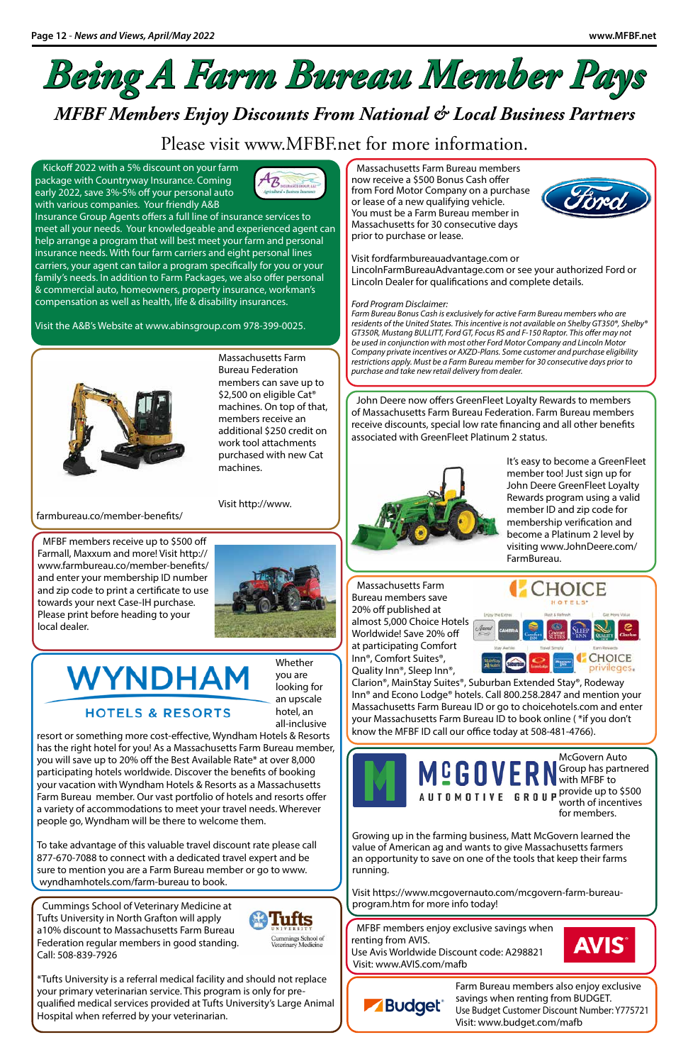# *Being A Farm Bureau Member Pays*

### *MFBF Members Enjoy Discounts From National & Local Business Partners*

### Please visit www.MFBF.net for more information.

Kickoff 2022 with a 5% discount on your farm package with Countryway Insurance. Coming early 2022, save 3%-5% off your personal auto with various companies. Your friendly A&B



Insurance Group Agents offers a full line of insurance services to meet all your needs. Your knowledgeable and experienced agent can help arrange a program that will best meet your farm and personal insurance needs. With four farm carriers and eight personal lines carriers, your agent can tailor a program specifically for you or your family's needs. In addition to Farm Packages, we also offer personal & commercial auto, homeowners, property insurance, workman's compensation as well as health, life & disability insurances.

Visit the A&B's Website at www.abinsgroup.com 978-399-0025.



Massachusetts Farm Bureau members now receive a \$500 Bonus Cash offer from Ford Motor Company on a purchase or lease of a new qualifying vehicle. You must be a Farm Bureau member in Massachusetts for 30 consecutive days prior to purchase or lease.



LincolnFarmBureauAdvantage.com or see your authorized Ford or Lincoln Dealer for qualifications and complete details.

#### *Ford Program Disclaimer:*

*Farm Bureau Bonus Cash is exclusively for active Farm Bureau members who are residents of the United States. This incentive is not available on Shelby GT350®, Shelby® GT350R, Mustang BULLITT, Ford GT, Focus RS and F-150 Raptor. This offer may not be used in conjunction with most other Ford Motor Company and Lincoln Motor Company private incentives or AXZD-Plans. Some customer and purchase eligibility restrictions apply. Must be a Farm Bureau member for 30 consecutive days prior to purchase and take new retail delivery from dealer.*

> A U T O M O T I V E G R O U P provide up to \$500 worth of incentives for members.

John Deere now offers GreenFleet Loyalty Rewards to members of Massachusetts Farm Bureau Federation. Farm Bureau members receive discounts, special low rate financing and all other benefits associated with GreenFleet Platinum 2 status.



It's easy to become a GreenFleet member too! Just sign up for John Deere GreenFleet Loyalty Rewards program using a valid member ID and zip code for membership verification and become a Platinum 2 level by visiting www.JohnDeere.com/ FarmBureau.

Massachusetts Farm Bureau Federation

members can save up to \$2,500 on eligible Cat<sup>®</sup> machines. On top of that, members receive an additional \$250 credit on work tool attachments purchased with new Cat

# WYNDHAM

#### **HOTELS & RESORTS**

machines.

Visit http://www.

farmbureau.co/member-benefits/

Cummings School of Veterinary Medicine at Tufts University in North Grafton will apply a10% discount to Massachusetts Farm Bureau Federation regular members in good standing. Call: 508-839-7926



Cummings School of<br>Veterinary Medicine

\*Tufts University is a referral medical facility and should not replace your primary veterinarian service. This program is only for prequalified medical services provided at Tufts University's Large Animal Hospital when referred by your veterinarian.

MFBF members receive up to \$500 off Farmall, Maxxum and more! Visit http:// www.farmbureau.co/member-benefits/ and enter your membership ID number and zip code to print a certificate to use towards your next Case-IH purchase. Please print before heading to your local dealer.



McGovern Auto Group has partnered

**CHOICE** 

privileges.







Growing up in the farming business, Matt McGovern learned the value of American ag and wants to give Massachusetts farmers an opportunity to save on one of the tools that keep their farms running.

Visit https://www.mcgovernauto.com/mcgovern-farm-bureauprogram.htm for more info today!

Massachusetts Farm Bureau members save 20% off published at almost 5,000 Choice Hotels Worldwide! Save 20% off at participating Comfort Inn®, Comfort Suites®, Quality Inn®, Sleep Inn®,

Clarion®, MainStay Suites®, Suburban Extended Stay®, Rodeway Inn® and Econo Lodge® hotels. Call 800.258.2847 and mention your Massachusetts Farm Bureau ID or go to choicehotels.com and enter your Massachusetts Farm Bureau ID to book online ( \*if you don't know the MFBF ID call our office today at 508-481-4766).

MFBF members enjoy exclusive savings when renting from AVIS. Use Avis Worldwide Discount code: A298821 Visit: www.AVIS.com/mafb



Farm Bureau members also enjoy exclusive savings when renting from BUDGET. Use Budget Customer Discount Number: Y775721 Visit: www.budget.com/mafb

Whether you are looking for an upscale hotel, an

all-inclusive resort or something more cost-effective, Wyndham Hotels & Resorts has the right hotel for you! As a Massachusetts Farm Bureau member, you will save up to 20% off the Best Available Rate\* at over 8,000 participating hotels worldwide. Discover the benefits of booking your vacation with Wyndham Hotels & Resorts as a Massachusetts Farm Bureau member. Our vast portfolio of hotels and resorts offer a variety of accommodations to meet your travel needs. Wherever people go, Wyndham will be there to welcome them.

To take advantage of this valuable travel discount rate please call 877-670-7088 to connect with a dedicated travel expert and be sure to mention you are a Farm Bureau member or go to www. wyndhamhotels.com/farm-bureau to book.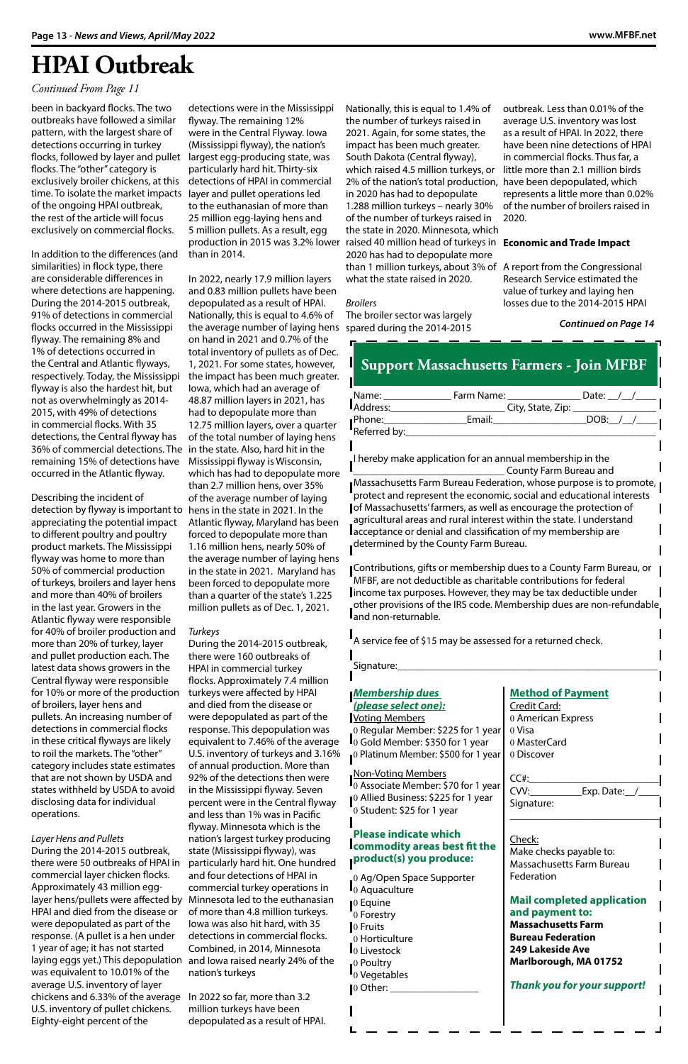$\mathbf{I}_0$  Associate Member: \$70 for 1 y 10 Allied Business: \$225 for 1 year 0 Student: \$25 for 1 year

#### *Membership dues (please select one):*

Voting Members Regular Member: \$225 for 1 year Gold Member: \$350 for 1 year Platinum Member: \$500 for 1 year

#### Non-Voting Members

**Please indicate which commodity areas best fit the product(s) you produce:** 

0 Ag/Open Space Supporter 0 Aquaculture 0 Equine 0 Forestry 0 Fruits 0 Horticulture **I**<sub>0</sub> Livestock 0 Poultry 0 Vegetables 0 Other: \_\_\_\_\_\_\_\_\_\_\_\_\_\_\_\_\_

 $\mathsf{I}$ 

#### **Method of Payment**

Credit Card: 0 American Express 0 Visa 0 MasterCard 0 Discover

 $CC#$ :

|                        | <b>Support Massachusetts Farmers - Join MFBF</b>                                                                                                                                                                                                    |                                                                                                                                              |
|------------------------|-----------------------------------------------------------------------------------------------------------------------------------------------------------------------------------------------------------------------------------------------------|----------------------------------------------------------------------------------------------------------------------------------------------|
| Address:               |                                                                                                                                                                                                                                                     |                                                                                                                                              |
| Phone:<br>Referred by: | <b>Email:</b> Email: DOB: /                                                                                                                                                                                                                         |                                                                                                                                              |
|                        | I hereby make application for an annual membership in the                                                                                                                                                                                           | County Farm Bureau and<br>Massachusetts Farm Bureau Federation, whose purpose is to promote,                                                 |
|                        | of Massachusetts' farmers, as well as encourage the protection of<br>agricultural areas and rural interest within the state. I understand<br>lacceptance or denial and classification of my membership are<br>determined by the County Farm Bureau. | protect and represent the economic, social and educational interests                                                                         |
| and non-returnable.    | MFBF, are not deductible as charitable contributions for federal<br>income tax purposes. However, they may be tax deductible under                                                                                                                  | Contributions, gifts or membership dues to a County Farm Bureau, or<br>other provisions of the IRS code. Membership dues are non-refundable. |

A service fee of \$15 may be assessed for a returned check.

Signature:

 $\mathsf{I}$ 

| CVV:<br>Exp. Date: $\angle$                         |
|-----------------------------------------------------|
| Signature:                                          |
|                                                     |
| Check:                                              |
| Make checks payable to:                             |
| Massachusetts Farm Bureau                           |
| Federation                                          |
|                                                     |
| <b>Mail completed application</b>                   |
| and payment to:                                     |
| <b>Massachusetts Farm</b>                           |
| <b>Bureau Federation</b><br><b>249 Lakeside Ave</b> |
| Marlborough, MA 01752                               |
|                                                     |
| <b>Thank you for your support!</b>                  |
|                                                     |

been in backyard flocks. The two outbreaks have followed a similar pattern, with the largest share of detections occurring in turkey flocks, followed by layer and pullet largest egg-producing state, was flocks. The "other" category is exclusively broiler chickens, at this time. To isolate the market impacts layer and pullet operations led of the ongoing HPAI outbreak, the rest of the article will focus exclusively on commercial flocks.

In addition to the differences (and similarities) in flock type, there are considerable differences in where detections are happening. During the 2014-2015 outbreak, 91% of detections in commercial flocks occurred in the Mississippi flyway. The remaining 8% and 1% of detections occurred in the Central and Atlantic flyways, respectively. Today, the Mississippi flyway is also the hardest hit, but not as overwhelmingly as 2014- 2015, with 49% of detections in commercial flocks. With 35 detections, the Central flyway has 36% of commercial detections. The in the state. Also, hard hit in the remaining 15% of detections have occurred in the Atlantic flyway.

laying eggs yet.) This depopulation and lowa raised nearly 24% of the During the 2014-2015 outbreak, there were 160 outbreaks of HPAI in commercial turkey flocks. Approximately 7.4 million turkeys were affected by HPAI and died from the disease or were depopulated as part of the response. This depopulation was equivalent to 7.46% of the average U.S. inventory of turkeys and 3.16% of annual production. More than 92% of the detections then were in the Mississippi flyway. Seven percent were in the Central flyway and less than 1% was in Pacific flyway. Minnesota which is the nation's largest turkey producing state (Mississippi flyway), was particularly hard hit. One hundred and four detections of HPAI in commercial turkey operations in of more than 4.8 million turkeys. Iowa was also hit hard, with 35 detections in commercial flocks. Combined, in 2014, Minnesota nation's turkeys

Describing the incident of detection by flyway is important to hens in the state in 2021. In the appreciating the potential impact to different poultry and poultry product markets. The Mississippi flyway was home to more than 50% of commercial production of turkeys, broilers and layer hens and more than 40% of broilers in the last year. Growers in the Atlantic flyway were responsible for 40% of broiler production and more than 20% of turkey, layer and pullet production each. The latest data shows growers in the Central flyway were responsible for 10% or more of the production of broilers, layer hens and pullets. An increasing number of detections in commercial flocks in these critical flyways are likely to roil the markets. The "other" category includes state estimates that are not shown by USDA and

production in 2015 was 3.2% lower raised 40 million head of turkeys in **Economic and Trade Impact** Nationally, this is equal to 1.4% of the number of turkeys raised in 2021. Again, for some states, the impact has been much greater. South Dakota (Central flyway), which raised 4.5 million turkeys, or 2% of the nation's total production, have been depopulated, which in 2020 has had to depopulate 1.288 million turkeys – nearly 30% of the number of turkeys raised in the state in 2020. Minnesota, which 2020 has had to depopulate more than 1 million turkeys, about 3% of A report from the Congressional what the state raised in 2020.

states withheld by USDA to avoid disclosing data for individual operations.

*Layer Hens and Pullets* During the 2014-2015 outbreak, there were 50 outbreaks of HPAI in commercial layer chicken flocks. Approximately 43 million egglayer hens/pullets were affected by Minnesota led to the euthanasian HPAI and died from the disease or were depopulated as part of the response. (A pullet is a hen under 1 year of age; it has not started was equivalent to 10.01% of the average U.S. inventory of layer chickens and 6.33% of the average In 2022 so far, more than 3.2 U.S. inventory of pullet chickens. Eighty-eight percent of the

detections were in the Mississippi flyway. The remaining 12% were in the Central Flyway. Iowa (Mississippi flyway), the nation's particularly hard hit. Thirty-six detections of HPAI in commercial to the euthanasian of more than 25 million egg-laying hens and 5 million pullets. As a result, egg than in 2014.

In 2022, nearly 17.9 million layers and 0.83 million pullets have been depopulated as a result of HPAI. Nationally, this is equal to 4.6% of the average number of laying hens spared during the 2014-2015 on hand in 2021 and 0.7% of the total inventory of pullets as of Dec. 1, 2021. For some states, however, the impact has been much greater. Iowa, which had an average of 48.87 million layers in 2021, has had to depopulate more than 12.75 million layers, over a quarter of the total number of laying hens Mississippi flyway is Wisconsin, which has had to depopulate more than 2.7 million hens, over 35% of the average number of laying Atlantic flyway, Maryland has been forced to depopulate more than 1.16 million hens, nearly 50% of the average number of laying hens in the state in 2021. Maryland has been forced to depopulate more than a quarter of the state's 1.225 million pullets as of Dec. 1, 2021.

#### *Turkeys*

million turkeys have been depopulated as a result of HPAI.

#### *Broilers*

The broiler sector was largely

outbreak. Less than 0.01% of the average U.S. inventory was lost as a result of HPAI. In 2022, there have been nine detections of HPAI in commercial flocks. Thus far, a little more than 2.1 million birds represents a little more than 0.02% of the number of broilers raised in 2020.

Research Service estimated the value of turkey and laying hen losses due to the 2014-2015 HPAI

*Continued on Page 14*

### **HPAI Outbreak**

#### *Continued From Page 11*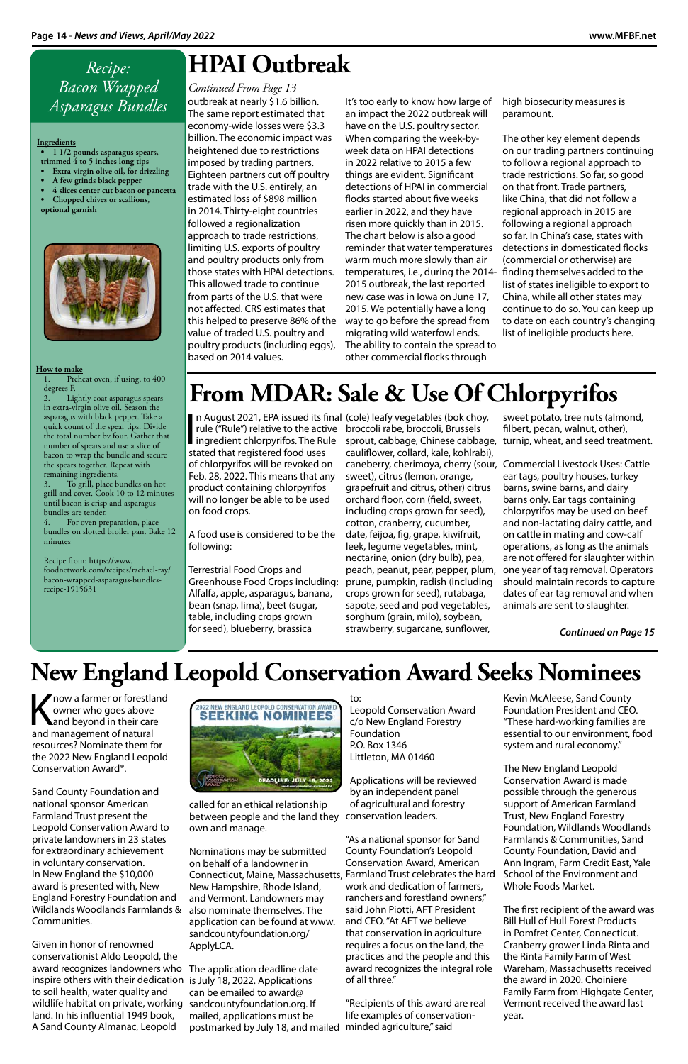### *Recipe: Bacon Wrapped Asparagus Bundles*

#### **Ingredients**

Preheat oven, if using, to 400 degrees F.

- **• 1 1/2 pounds asparagus spears, trimmed 4 to 5 inches long tips**
- **• Extra-virgin olive oil, for drizzling**
- **• A few grinds black pepper**
- **• 4 slices center cut bacon or pancetta**
- **• Chopped chives or scallions, optional garnish**



#### **How to make**

Lightly coat asparagus spears in extra-virgin olive oil. Season the asparagus with black pepper. Take a quick count of the spear tips. Divide the total number by four. Gather that number of spears and use a slice of bacon to wrap the bundle and secure the spears together. Repeat with remaining ingredients.

To grill, place bundles on hot grill and cover. Cook 10 to 12 minutes until bacon is crisp and asparagus bundles are tender.

now a farmer or forestland owner who goes above and beyond in their care and management of natural resources? Nominate them for the 2022 New England Leopold Conservation Award®.



4. For oven preparation, place bundles on slotted broiler pan. Bake 12 minutes

#### Recipe from: https://www. foodnetwork.com/recipes/rachael-ray/

bacon-wrapped-asparagus-bundlesrecipe-1915631

Sand County Foundation and national sponsor American Farmland Trust present the Leopold Conservation Award to private landowners in 23 states for extraordinary achievement in voluntary conservation. In New England the \$10,000 award is presented with, New England Forestry Foundation and Wildlands Woodlands Farmlands & Communities.

Given in honor of renowned conservationist Aldo Leopold, the award recognizes landowners who The application deadline date inspire others with their dedication to soil health, water quality and wildlife habitat on private, working land. In his influential 1949 book, A Sand County Almanac, Leopold



### **New England Leopold Conservation Award Seeks Nominees**

called for an ethical relationship between people and the land they own and manage.

Nominations may be submitted on behalf of a landowner in New Hampshire, Rhode Island, and Vermont. Landowners may also nominate themselves. The application can be found at www. sandcountyfoundation.org/ ApplyLCA.

to:

Leopold Conservation Award c/o New England Forestry Foundation P.O. Box 1346 Littleton, MA 01460

Applications will be reviewed

Connecticut, Maine, Massachusetts, Farmland Trust celebrates the hard "As a national sponsor for Sand County Foundation's Leopold Conservation Award, American work and dedication of farmers, ranchers and forestland owners," said John Piotti, AFT President and CEO. "At AFT we believe that conservation in agriculture requires a focus on the land, the practices and the people and this award recognizes the integral role of all three."

by an independent panel of agricultural and forestry conservation leaders.

is July 18, 2022. Applications can be emailed to award@ sandcountyfoundation.org. If mailed, applications must be postmarked by July 18, and mailed minded agriculture," said

"Recipients of this award are real life examples of conservation-

|<br>|<br>|<br>|<br>|<br>| rule ("Rule") relative to the active broccoli rabe, broccoli, Brussels ingredient chlorpyrifos. The Rule stated that registered food uses of chlorpyrifos will be revoked on Feb. 28, 2022. This means that any product containing chlorpyrifos will no longer be able to be used on food crops.

> Kevin McAleese, Sand County Foundation President and CEO. "These hard-working families are essential to our environment, food system and rural economy."

> The New England Leopold Conservation Award is made possible through the generous support of American Farmland Trust, New England Forestry Foundation, Wildlands Woodlands Farmlands & Communities, Sand County Foundation, David and Ann Ingram, Farm Credit East, Yale School of the Environment and Whole Foods Market.

The first recipient of the award was Bill Hull of Hull Forest Products in Pomfret Center, Connecticut. Cranberry grower Linda Rinta and the Rinta Family Farm of West Wareham, Massachusetts received the award in 2020. Choiniere Family Farm from Highgate Center, Vermont received the award last year.

outbreak at nearly \$1.6 billion. The same report estimated that economy-wide losses were \$3.3 billion. The economic impact was heightened due to restrictions imposed by trading partners. Eighteen partners cut off poultry trade with the U.S. entirely, an estimated loss of \$898 million in 2014. Thirty-eight countries followed a regionalization approach to trade restrictions, limiting U.S. exports of poultry and poultry products only from those states with HPAI detections. This allowed trade to continue from parts of the U.S. that were not affected. CRS estimates that this helped to preserve 86% of the value of traded U.S. poultry and poultry products (including eggs), based on 2014 values.

It's too early to know how large of an impact the 2022 outbreak will have on the U.S. poultry sector. When comparing the week-byweek data on HPAI detections in 2022 relative to 2015 a few things are evident. Significant detections of HPAI in commercial flocks started about five weeks earlier in 2022, and they have risen more quickly than in 2015. The chart below is also a good reminder that water temperatures warm much more slowly than air temperatures, i.e., during the 2014- 2015 outbreak, the last reported new case was in Iowa on June 17, 2015. We potentially have a long way to go before the spread from migrating wild waterfowl ends. The ability to contain the spread to other commercial flocks through

high biosecurity measures is paramount.

The other key element depends on our trading partners continuing to follow a regional approach to trade restrictions. So far, so good on that front. Trade partners, like China, that did not follow a regional approach in 2015 are following a regional approach so far. In China's case, states with detections in domesticated flocks (commercial or otherwise) are finding themselves added to the list of states ineligible to export to China, while all other states may continue to do so. You can keep up to date on each country's changing list of ineligible products here.

### **HPAI Outbreak**

#### *Continued From Page 13*

A food use is considered to be the following:

Terrestrial Food Crops and Greenhouse Food Crops including: Alfalfa, apple, asparagus, banana, bean (snap, lima), beet (sugar, table, including crops grown for seed), blueberry, brassica

## **From MDAR: Sale & Use Of Chlorpyrifos**

n August 2021, EPA issued its final (cole) leafy vegetables (bok choy, sprout, cabbage, Chinese cabbage, cauliflower, collard, kale, kohlrabi), caneberry, cherimoya, cherry (sour, Commercial Livestock Uses: Cattle sweet), citrus (lemon, orange, grapefruit and citrus, other) citrus orchard floor, corn (field, sweet, including crops grown for seed), cotton, cranberry, cucumber, date, feijoa, fig, grape, kiwifruit, leek, legume vegetables, mint, nectarine, onion (dry bulb), pea, peach, peanut, pear, pepper, plum, prune, pumpkin, radish (including crops grown for seed), rutabaga, sapote, seed and pod vegetables, sorghum (grain, milo), soybean, strawberry, sugarcane, sunflower,

sweet potato, tree nuts (almond, filbert, pecan, walnut, other), turnip, wheat, and seed treatment.

ear tags, poultry houses, turkey barns, swine barns, and dairy barns only. Ear tags containing chlorpyrifos may be used on beef and non-lactating dairy cattle, and on cattle in mating and cow-calf operations, as long as the animals are not offered for slaughter within one year of tag removal. Operators should maintain records to capture dates of ear tag removal and when animals are sent to slaughter.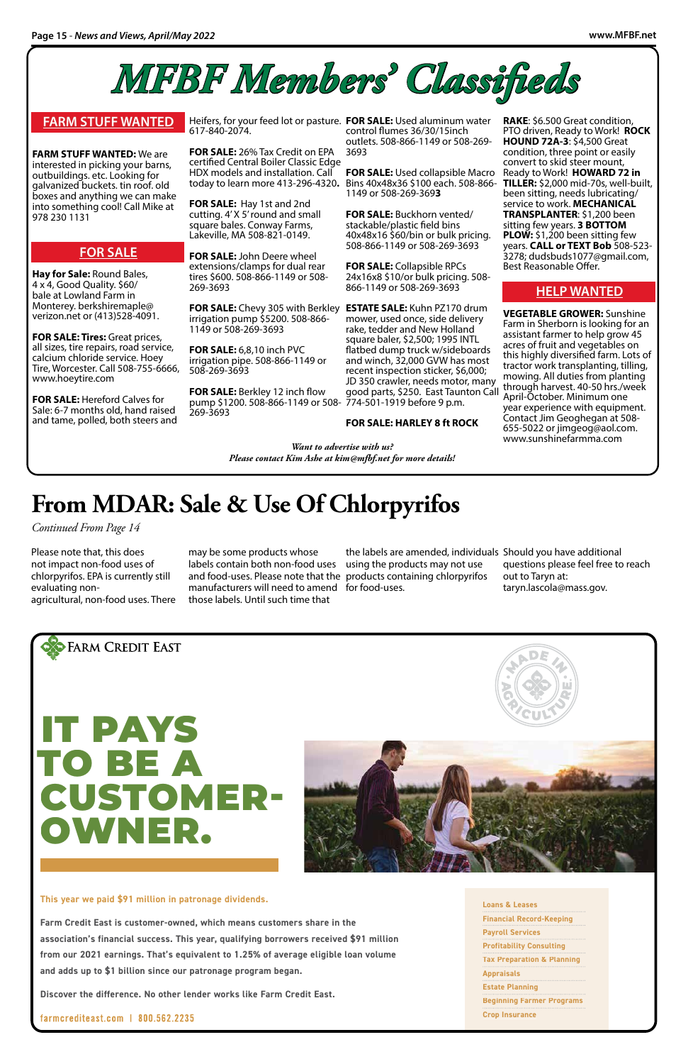**RAKE**: \$6.500 Great condition, PTO driven, Ready to Work! **ROCK HOUND 72A-3**: \$4,500 Great condition, three point or easily convert to skid steer mount, Ready to Work! **HOWARD 72 in TILLER:** \$2,000 mid-70s, well-built, been sitting, needs lubricating/ service to work. **MECHANICAL TRANSPLANTER**: \$1,200 been sitting few years. **3 BOTTOM PLOW:** \$1,200 been sitting few years. **CALL or TEXT Bob** 508-523- 3278; dudsbuds1077@gmail.com, Best Reasonable Offer.

#### **HELP WANTED**

**VEGETABLE GROWER:** Sunshine Farm in Sherborn is looking for an assistant farmer to help grow 45 acres of fruit and vegetables on this highly diversified farm. Lots of tractor work transplanting, tilling, mowing. All duties from planting through harvest. 40-50 hrs./week April-October. Minimum one year experience with equipment. Contact Jim Geoghegan at 508- 655-5022 or jimgeog@aol.com. www.sunshinefarmma.com

#### **FARM STUFF WANTED**

**FARM STUFF WANTED:** We are interested in picking your barns, outbuildings. etc. Looking for galvanized buckets. tin roof. old boxes and anything we can make into something cool! Call Mike at 978 230 1131

#### **FOR SALE**

**Hay for Sale:** Round Bales, 4 x 4, Good Quality. \$60/ bale at Lowland Farm in Monterey. berkshiremaple@ verizon.net or (413)528-4091.

**FOR SALE: Tires:** Great prices, all sizes, tire repairs, road service, calcium chloride service. Hoey Tire, Worcester. Call 508-755-6666, www.hoeytire.com

**FOR SALE:** Hereford Calves for Sale: 6-7 months old, hand raised and tame, polled, both steers and

Heifers, for your feed lot or pasture. **FOR SALE:** Used aluminum water 617-840-2074.

**FOR SALE:** 26% Tax Credit on EPA certified Central Boiler Classic Edge HDX models and installation. Call today to learn more 413-296-4320**.** 

**FOR SALE:** Hay 1st and 2nd cutting. 4' X 5' round and small square bales. Conway Farms, Lakeville, MA 508-821-0149.

**FOR SALE:** John Deere wheel extensions/clamps for dual rear tires \$600. 508-866-1149 or 508- 269-3693

**FOR SALE:** Chevy 305 with Berkley **ESTATE SALE:** Kuhn PZ170 drum irrigation pump \$5200. 508-866- 1149 or 508-269-3693

**FOR SALE:** 6,8,10 inch PVC irrigation pipe. 508-866-1149 or 508-269-3693

**FOR SALE:** Berkley 12 inch flow pump \$1200. 508-866-1149 or 508- 774-501-1919 before 9 p.m. 269-3693

control flumes 36/30/15inch outlets. 508-866-1149 or 508-269- 3693

**FOR SALE:** Used collapsible Macro Bins 40x48x36 \$100 each. 508-866- 1149 or 508-269-369**3**

**FOR SALE:** Buckhorn vented/ stackable/plastic field bins 40x48x16 \$60/bin or bulk pricing. 508-866-1149 or 508-269-3693

**FOR SALE:** Collapsible RPCs 24x16x8 \$10/or bulk pricing. 508- 866-1149 or 508-269-3693

mower, used once, side delivery rake, tedder and New Holland square baler, \$2,500; 1995 INTL flatbed dump truck w/sideboards and winch, 32,000 GVW has most recent inspection sticker, \$6,000; JD 350 crawler, needs motor, many good parts, \$250. East Taunton Call

#### **FOR SALE: HARLEY 8 ft ROCK**



#### **This year we paid \$91 million in patronage dividends.**

**Farm Credit East is customer-owned, which means customers share in the association's financial success. This year, qualifying borrowers received \$91 million from our 2021 earnings. That's equivalent to 1.25% of average eligible loan volume and adds up to \$1 billion since our patronage program began.** 

**Discover the difference. No other lender works like Farm Credit East.**

farmcrediteast.com | 800.562.2235

**Loans & Leases Financial Record-Keeping Payroll Services Profitability Consulting Tax Preparation & Planning Appraisals Estate Planning Beginning Farmer Programs Crop Insurance**





# CUSTOMER-OWNER.

*Want to advertise with us? Please contact Kim Ashe at kim@mfbf.net for more details!* 

Please note that, this does not impact non-food uses of chlorpyrifos. EPA is currently still evaluating nonagricultural, non-food uses. There

may be some products whose labels contain both non-food uses using the products may not use and food-uses. Please note that the products containing chlorpyrifos manufacturers will need to amend for food-uses. those labels. Until such time that

the labels are amended, individuals Should you have additional

questions please feel free to reach out to Taryn at: taryn.lascola@mass.gov.

### **From MDAR: Sale & Use Of Chlorpyrifos**

*Continued From Page 14*